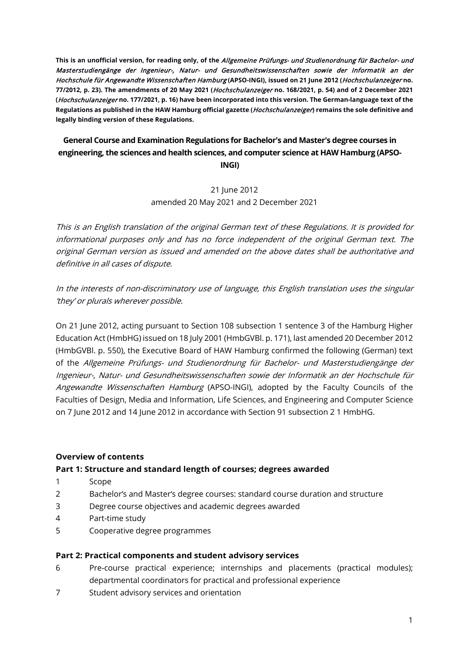**This is an unofficial version, for reading only, of the** Allgemeine Prüfungs- und Studienordnung für Bachelor- und Masterstudiengänge der Ingenieur-, Natur- und Gesundheitswissenschaften sowie der Informatik an der Hochschule für Angewandte Wissenschaften Hamburg **(APSO-INGI), issued on 21 June 2012 (**Hochschulanzeiger **no. 77/2012, p. 23). The amendments of 20 May 2021 (**Hochschulanzeiger **no. 168/2021, p. 54) and of 2 December 2021 (**Hochschulanzeiger **no. 177/2021, p. 16) have been incorporated into this version. The German-language text of the Regulations as published in the HAW Hamburg official gazette (**Hochschulanzeiger**) remains the sole definitive and legally binding version of these Regulations.** 

# **General Course and Examination Regulations for Bachelor's and Master's degree courses in engineering, the sciences and health sciences, and computer science at HAW Hamburg (APSO-**

**INGI)**

21 June 2012 amended 20 May 2021 and 2 December 2021

This is an English translation of the original German text of these Regulations. It is provided for informational purposes only and has no force independent of the original German text. The original German version as issued and amended on the above dates shall be authoritative and definitive in all cases of dispute.

In the interests of non-discriminatory use of language, this English translation uses the singular 'they' or plurals wherever possible.

On 21 June 2012, acting pursuant to Section 108 subsection 1 sentence 3 of the Hamburg Higher Education Act (HmbHG) issued on 18 July 2001 (HmbGVBl. p. 171), last amended 20 December 2012 (HmbGVBl. p. 550), the Executive Board of HAW Hamburg confirmed the following (German) text of the Allgemeine Prüfungs- und Studienordnung für Bachelor- und Masterstudiengänge der Ingenieur-, Natur- und Gesundheitswissenschaften sowie der Informatik an der Hochschule für Angewandte Wissenschaften Hamburg (APSO-INGI), adopted by the Faculty Councils of the Faculties of Design, Media and Information, Life Sciences, and Engineering and Computer Science on 7 June 2012 and 14 June 2012 in accordance with Section 91 subsection 2 1 HmbHG.

### **Overview of contents**

### **Part 1: Structure and standard length of courses; degrees awarded**

- 1 Scope
- 2 Bachelor's and Master's degree courses: standard course duration and structure
- 3 Degree course objectives and academic degrees awarded
- 4 Part-time study
- 5 Cooperative degree programmes

### **Part 2: Practical components and student advisory services**

- 6 Pre-course practical experience; internships and placements (practical modules); departmental coordinators for practical and professional experience
- 7 Student advisory services and orientation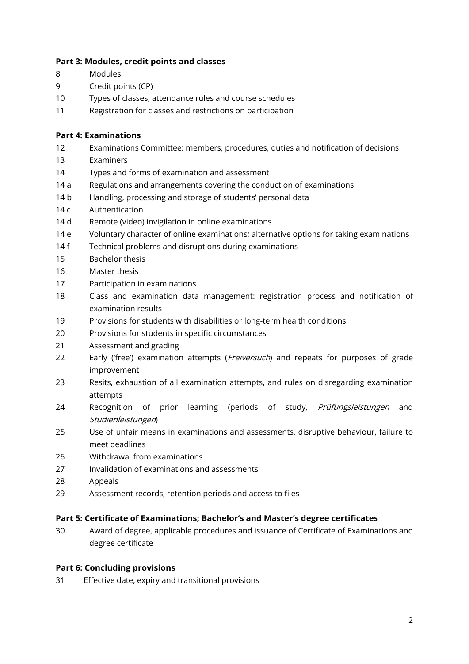### **Part 3: Modules, credit points and classes**

- 8 Modules
- 9 Credit points (CP)
- 10 Types of classes, attendance rules and course schedules
- 11 Registration for classes and restrictions on participation

### **Part 4: Examinations**

- 12 Examinations Committee: members, procedures, duties and notification of decisions
- 13 Examiners
- 14 Types and forms of examination and assessment
- 14 a Regulations and arrangements covering the conduction of examinations
- 14 b Handling, processing and storage of students' personal data
- 14 c Authentication
- 14 d Remote (video) invigilation in online examinations
- 14 e Voluntary character of online examinations; alternative options for taking examinations
- 14 f Technical problems and disruptions during examinations
- 15 Bachelor thesis
- 16 Master thesis
- 17 Participation in examinations
- 18 Class and examination data management: registration process and notification of examination results
- 19 Provisions for students with disabilities or long-term health conditions
- 20 Provisions for students in specific circumstances
- 21 Assessment and grading
- 22 Early ('free') examination attempts (Freiversuch) and repeats for purposes of grade improvement
- 23 Resits, exhaustion of all examination attempts, and rules on disregarding examination attempts
- 24 Recognition of prior learning (periods of study, Prüfungsleistungen and Studienleistungen)
- 25 Use of unfair means in examinations and assessments, disruptive behaviour, failure to meet deadlines
- 26 Withdrawal from examinations
- 27 Invalidation of examinations and assessments
- 28 Appeals
- 29 Assessment records, retention periods and access to files

### **Part 5: Certificate of Examinations; Bachelor's and Master's degree certificates**

30 Award of degree, applicable procedures and issuance of Certificate of Examinations and degree certificate

### **Part 6: Concluding provisions**

31 Effective date, expiry and transitional provisions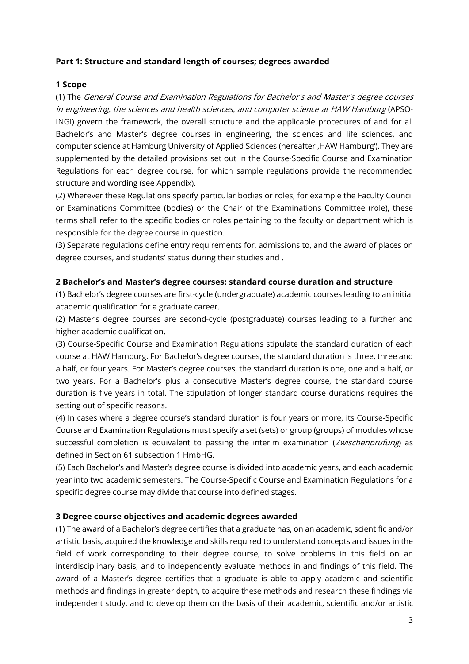### **Part 1: Structure and standard length of courses; degrees awarded**

### **1 Scope**

(1) The General Course and Examination Regulations for Bachelor's and Master's degree courses in engineering, the sciences and health sciences, and computer science at HAW Hamburg (APSO-INGI) govern the framework, the overall structure and the applicable procedures of and for all Bachelor's and Master's degree courses in engineering, the sciences and life sciences, and computer science at Hamburg University of Applied Sciences (hereafter , HAW Hamburg'). They are supplemented by the detailed provisions set out in the Course-Specific Course and Examination Regulations for each degree course, for which sample regulations provide the recommended structure and wording (see Appendix).

(2) Wherever these Regulations specify particular bodies or roles, for example the Faculty Council or Examinations Committee (bodies) or the Chair of the Examinations Committee (role), these terms shall refer to the specific bodies or roles pertaining to the faculty or department which is responsible for the degree course in question.

(3) Separate regulations define entry requirements for, admissions to, and the award of places on degree courses, and students' status during their studies and .

### **2 Bachelor's and Master's degree courses: standard course duration and structure**

(1) Bachelor's degree courses are first-cycle (undergraduate) academic courses leading to an initial academic qualification for a graduate career.

(2) Master's degree courses are second-cycle (postgraduate) courses leading to a further and higher academic qualification.

(3) Course-Specific Course and Examination Regulations stipulate the standard duration of each course at HAW Hamburg. For Bachelor's degree courses, the standard duration is three, three and a half, or four years. For Master's degree courses, the standard duration is one, one and a half, or two years. For a Bachelor's plus a consecutive Master's degree course, the standard course duration is five years in total. The stipulation of longer standard course durations requires the setting out of specific reasons.

(4) In cases where a degree course's standard duration is four years or more, its Course-Specific Course and Examination Regulations must specify a set (sets) or group (groups) of modules whose successful completion is equivalent to passing the interim examination (Zwischenprüfung) as defined in Section 61 subsection 1 HmbHG.

(5) Each Bachelor's and Master's degree course is divided into academic years, and each academic year into two academic semesters. The Course-Specific Course and Examination Regulations for a specific degree course may divide that course into defined stages.

### **3 Degree course objectives and academic degrees awarded**

(1) The award of a Bachelor's degree certifies that a graduate has, on an academic, scientific and/or artistic basis, acquired the knowledge and skills required to understand concepts and issues in the field of work corresponding to their degree course, to solve problems in this field on an interdisciplinary basis, and to independently evaluate methods in and findings of this field. The award of a Master's degree certifies that a graduate is able to apply academic and scientific methods and findings in greater depth, to acquire these methods and research these findings via independent study, and to develop them on the basis of their academic, scientific and/or artistic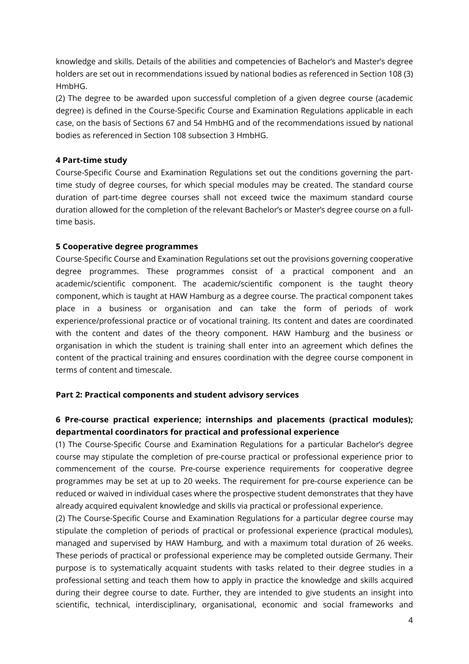knowledge and skills. Details of the abilities and competencies of Bachelor's and Master's degree holders are set out in recommendations issued by national bodies as referenced in Section 108 (3) HmbHG.

(2) The degree to be awarded upon successful completion of a given degree course (academic degree) is defined in the Course-Specific Course and Examination Regulations applicable in each case, on the basis of Sections 67 and 54 HmbHG and of the recommendations issued by national bodies as referenced in Section 108 subsection 3 HmbHG.

### **4 Part-time study**

Course-Specific Course and Examination Regulations set out the conditions governing the parttime study of degree courses, for which special modules may be created. The standard course duration of part-time degree courses shall not exceed twice the maximum standard course duration allowed for the completion of the relevant Bachelor's or Master's degree course on a fulltime basis.

### **5 Cooperative degree programmes**

Course-Specific Course and Examination Regulations set out the provisions governing cooperative degree programmes. These programmes consist of a practical component and an academic/scientific component. The academic/scientific component is the taught theory component, which is taught at HAW Hamburg as a degree course. The practical component takes place in a business or organisation and can take the form of periods of work experience/professional practice or of vocational training. Its content and dates are coordinated with the content and dates of the theory component. HAW Hamburg and the business or organisation in which the student is training shall enter into an agreement which defines the content of the practical training and ensures coordination with the degree course component in terms of content and timescale.

### **Part 2: Practical components and student advisory services**

# **6 Pre-course practical experience; internships and placements (practical modules); departmental coordinators for practical and professional experience**

(1) The Course-Specific Course and Examination Regulations for a particular Bachelor's degree course may stipulate the completion of pre-course practical or professional experience prior to commencement of the course. Pre-course experience requirements for cooperative degree programmes may be set at up to 20 weeks. The requirement for pre-course experience can be reduced or waived in individual cases where the prospective student demonstrates that they have already acquired equivalent knowledge and skills via practical or professional experience.

(2) The Course-Specific Course and Examination Regulations for a particular degree course may stipulate the completion of periods of practical or professional experience (practical modules), managed and supervised by HAW Hamburg, and with a maximum total duration of 26 weeks. These periods of practical or professional experience may be completed outside Germany. Their purpose is to systematically acquaint students with tasks related to their degree studies in a professional setting and teach them how to apply in practice the knowledge and skills acquired during their degree course to date. Further, they are intended to give students an insight into scientific, technical, interdisciplinary, organisational, economic and social frameworks and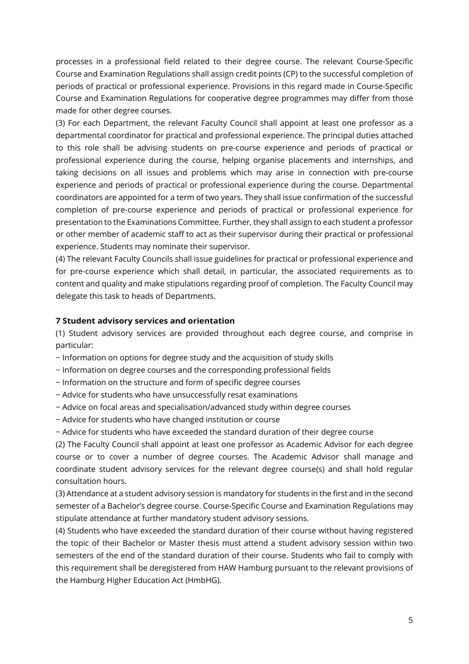processes in a professional field related to their degree course. The relevant Course-Specific Course and Examination Regulations shall assign credit points (CP) to the successful completion of periods of practical or professional experience. Provisions in this regard made in Course-Specific Course and Examination Regulations for cooperative degree programmes may differ from those made for other degree courses.

(3) For each Department, the relevant Faculty Council shall appoint at least one professor as a departmental coordinator for practical and professional experience. The principal duties attached to this role shall be advising students on pre-course experience and periods of practical or professional experience during the course, helping organise placements and internships, and taking decisions on all issues and problems which may arise in connection with pre-course experience and periods of practical or professional experience during the course. Departmental coordinators are appointed for a term of two years. They shall issue confirmation of the successful completion of pre-course experience and periods of practical or professional experience for presentation to the Examinations Committee. Further, they shall assign to each student a professor or other member of academic staff to act as their supervisor during their practical or professional experience. Students may nominate their supervisor.

(4) The relevant Faculty Councils shall issue guidelines for practical or professional experience and for pre-course experience which shall detail, in particular, the associated requirements as to content and quality and make stipulations regarding proof of completion. The Faculty Council may delegate this task to heads of Departments.

### **7 Student advisory services and orientation**

(1) Student advisory services are provided throughout each degree course, and comprise in particular:

- − Information on options for degree study and the acquisition of study skills
- − Information on degree courses and the corresponding professional fields
- − Information on the structure and form of specific degree courses
- − Advice for students who have unsuccessfully resat examinations
- − Advice on focal areas and specialisation/advanced study within degree courses
- − Advice for students who have changed institution or course
- − Advice for students who have exceeded the standard duration of their degree course

(2) The Faculty Council shall appoint at least one professor as Academic Advisor for each degree course or to cover a number of degree courses. The Academic Advisor shall manage and coordinate student advisory services for the relevant degree course(s) and shall hold regular consultation hours.

(3) Attendance at a student advisory session is mandatory for students in the first and in the second semester of a Bachelor's degree course. Course-Specific Course and Examination Regulations may stipulate attendance at further mandatory student advisory sessions.

(4) Students who have exceeded the standard duration of their course without having registered the topic of their Bachelor or Master thesis must attend a student advisory session within two semesters of the end of the standard duration of their course. Students who fail to comply with this requirement shall be deregistered from HAW Hamburg pursuant to the relevant provisions of the Hamburg Higher Education Act (HmbHG).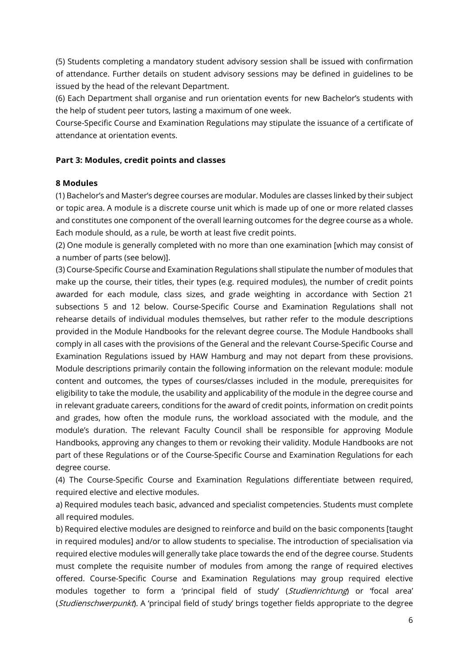(5) Students completing a mandatory student advisory session shall be issued with confirmation of attendance. Further details on student advisory sessions may be defined in guidelines to be issued by the head of the relevant Department.

(6) Each Department shall organise and run orientation events for new Bachelor's students with the help of student peer tutors, lasting a maximum of one week.

Course-Specific Course and Examination Regulations may stipulate the issuance of a certificate of attendance at orientation events.

### **Part 3: Modules, credit points and classes**

### **8 Modules**

(1) Bachelor's and Master's degree courses are modular. Modules are classes linked by their subject or topic area. A module is a discrete course unit which is made up of one or more related classes and constitutes one component of the overall learning outcomes for the degree course as a whole. Each module should, as a rule, be worth at least five credit points.

(2) One module is generally completed with no more than one examination [which may consist of a number of parts (see below)].

(3) Course-Specific Course and Examination Regulations shall stipulate the number of modules that make up the course, their titles, their types (e.g. required modules), the number of credit points awarded for each module, class sizes, and grade weighting in accordance with Section 21 subsections 5 and 12 below. Course-Specific Course and Examination Regulations shall not rehearse details of individual modules themselves, but rather refer to the module descriptions provided in the Module Handbooks for the relevant degree course. The Module Handbooks shall comply in all cases with the provisions of the General and the relevant Course-Specific Course and Examination Regulations issued by HAW Hamburg and may not depart from these provisions. Module descriptions primarily contain the following information on the relevant module: module content and outcomes, the types of courses/classes included in the module, prerequisites for eligibility to take the module, the usability and applicability of the module in the degree course and in relevant graduate careers, conditions for the award of credit points, information on credit points and grades, how often the module runs, the workload associated with the module, and the module's duration. The relevant Faculty Council shall be responsible for approving Module Handbooks, approving any changes to them or revoking their validity. Module Handbooks are not part of these Regulations or of the Course-Specific Course and Examination Regulations for each degree course.

(4) The Course-Specific Course and Examination Regulations differentiate between required, required elective and elective modules.

a) Required modules teach basic, advanced and specialist competencies. Students must complete all required modules.

b) Required elective modules are designed to reinforce and build on the basic components [taught in required modules] and/or to allow students to specialise. The introduction of specialisation via required elective modules will generally take place towards the end of the degree course. Students must complete the requisite number of modules from among the range of required electives offered. Course-Specific Course and Examination Regulations may group required elective modules together to form a 'principal field of study' (Studienrichtung) or 'focal area' (Studienschwerpunkt). A 'principal field of study' brings together fields appropriate to the degree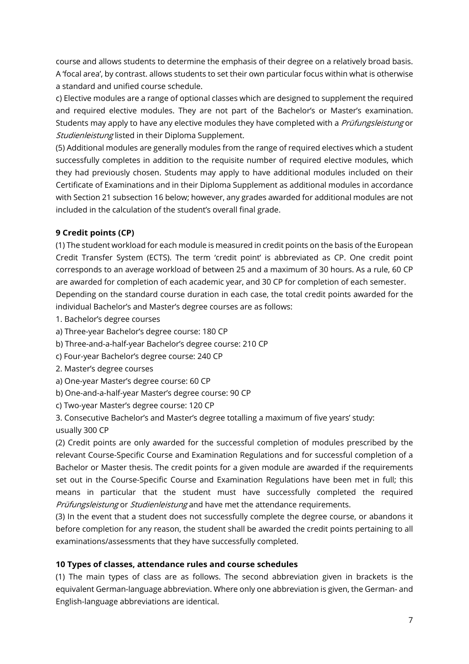course and allows students to determine the emphasis of their degree on a relatively broad basis. A 'focal area', by contrast. allows students to set their own particular focus within what is otherwise a standard and unified course schedule.

c) Elective modules are a range of optional classes which are designed to supplement the required and required elective modules. They are not part of the Bachelor's or Master's examination. Students may apply to have any elective modules they have completed with a *Prüfungsleistung* or Studienleistung listed in their Diploma Supplement.

(5) Additional modules are generally modules from the range of required electives which a student successfully completes in addition to the requisite number of required elective modules, which they had previously chosen. Students may apply to have additional modules included on their Certificate of Examinations and in their Diploma Supplement as additional modules in accordance with Section 21 subsection 16 below; however, any grades awarded for additional modules are not included in the calculation of the student's overall final grade.

### **9 Credit points (CP)**

(1) The student workload for each module is measured in credit points on the basis of the European Credit Transfer System (ECTS). The term 'credit point' is abbreviated as CP. One credit point corresponds to an average workload of between 25 and a maximum of 30 hours. As a rule, 60 CP are awarded for completion of each academic year, and 30 CP for completion of each semester. Depending on the standard course duration in each case, the total credit points awarded for the individual Bachelor's and Master's degree courses are as follows:

- 1. Bachelor's degree courses
- a) Three-year Bachelor's degree course: 180 CP
- b) Three-and-a-half-year Bachelor's degree course: 210 CP
- c) Four-year Bachelor's degree course: 240 CP
- 2. Master's degree courses
- a) One-year Master's degree course: 60 CP
- b) One-and-a-half-year Master's degree course: 90 CP
- c) Two-year Master's degree course: 120 CP
- 3. Consecutive Bachelor's and Master's degree totalling a maximum of five years' study:
- usually 300 CP

(2) Credit points are only awarded for the successful completion of modules prescribed by the relevant Course-Specific Course and Examination Regulations and for successful completion of a Bachelor or Master thesis. The credit points for a given module are awarded if the requirements set out in the Course-Specific Course and Examination Regulations have been met in full; this means in particular that the student must have successfully completed the required Prüfungsleistung or Studienleistung and have met the attendance requirements.

(3) In the event that a student does not successfully complete the degree course, or abandons it before completion for any reason, the student shall be awarded the credit points pertaining to all examinations/assessments that they have successfully completed.

### **10 Types of classes, attendance rules and course schedules**

(1) The main types of class are as follows. The second abbreviation given in brackets is the equivalent German-language abbreviation. Where only one abbreviation is given, the German- and English-language abbreviations are identical.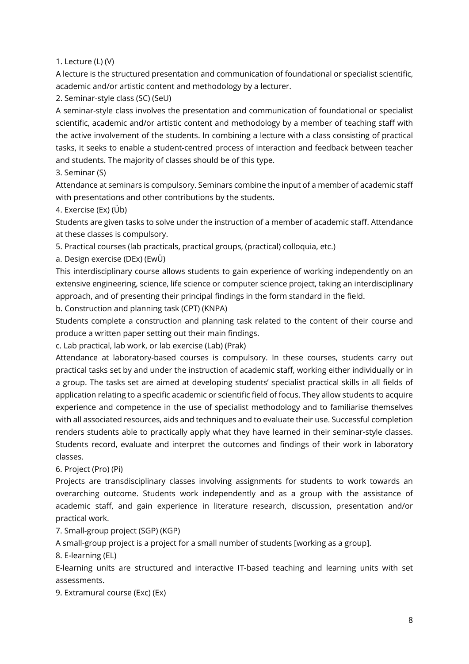1. Lecture (L) (V)

A lecture is the structured presentation and communication of foundational or specialist scientific, academic and/or artistic content and methodology by a lecturer.

2. Seminar-style class (SC) (SeU)

A seminar-style class involves the presentation and communication of foundational or specialist scientific, academic and/or artistic content and methodology by a member of teaching staff with the active involvement of the students. In combining a lecture with a class consisting of practical tasks, it seeks to enable a student-centred process of interaction and feedback between teacher and students. The majority of classes should be of this type.

3. Seminar (S)

Attendance at seminars is compulsory. Seminars combine the input of a member of academic staff with presentations and other contributions by the students.

4. Exercise (Ex) (Üb)

Students are given tasks to solve under the instruction of a member of academic staff. Attendance at these classes is compulsory.

5. Practical courses (lab practicals, practical groups, (practical) colloquia, etc.)

a. Design exercise (DEx) (EwÜ)

This interdisciplinary course allows students to gain experience of working independently on an extensive engineering, science, life science or computer science project, taking an interdisciplinary approach, and of presenting their principal findings in the form standard in the field.

b. Construction and planning task (CPT) (KNPA)

Students complete a construction and planning task related to the content of their course and produce a written paper setting out their main findings.

c. Lab practical, lab work, or lab exercise (Lab) (Prak)

Attendance at laboratory-based courses is compulsory. In these courses, students carry out practical tasks set by and under the instruction of academic staff, working either individually or in a group. The tasks set are aimed at developing students' specialist practical skills in all fields of application relating to a specific academic or scientific field of focus. They allow students to acquire experience and competence in the use of specialist methodology and to familiarise themselves with all associated resources, aids and techniques and to evaluate their use. Successful completion renders students able to practically apply what they have learned in their seminar-style classes. Students record, evaluate and interpret the outcomes and findings of their work in laboratory classes.

6. Project (Pro) (Pi)

Projects are transdisciplinary classes involving assignments for students to work towards an overarching outcome. Students work independently and as a group with the assistance of academic staff, and gain experience in literature research, discussion, presentation and/or practical work.

7. Small-group project (SGP) (KGP)

A small-group project is a project for a small number of students [working as a group].

8. E-learning (EL)

E-learning units are structured and interactive IT-based teaching and learning units with set assessments.

9. Extramural course (Exc) (Ex)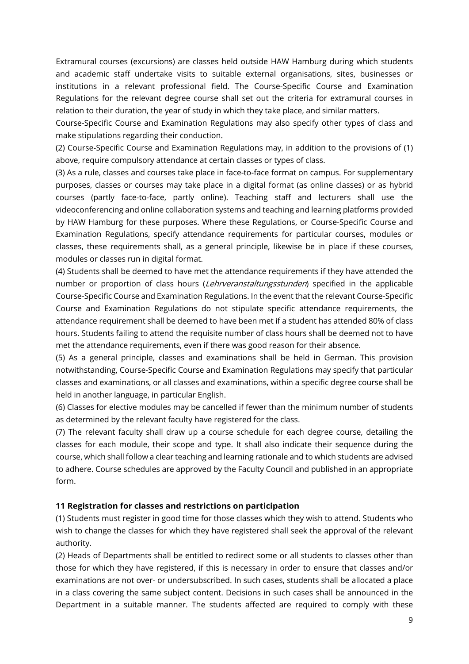Extramural courses (excursions) are classes held outside HAW Hamburg during which students and academic staff undertake visits to suitable external organisations, sites, businesses or institutions in a relevant professional field. The Course-Specific Course and Examination Regulations for the relevant degree course shall set out the criteria for extramural courses in relation to their duration, the year of study in which they take place, and similar matters.

Course-Specific Course and Examination Regulations may also specify other types of class and make stipulations regarding their conduction.

(2) Course-Specific Course and Examination Regulations may, in addition to the provisions of (1) above, require compulsory attendance at certain classes or types of class.

(3) As a rule, classes and courses take place in face-to-face format on campus. For supplementary purposes, classes or courses may take place in a digital format (as online classes) or as hybrid courses (partly face-to-face, partly online). Teaching staff and lecturers shall use the videoconferencing and online collaboration systems and teaching and learning platforms provided by HAW Hamburg for these purposes. Where these Regulations, or Course-Specific Course and Examination Regulations, specify attendance requirements for particular courses, modules or classes, these requirements shall, as a general principle, likewise be in place if these courses, modules or classes run in digital format.

(4) Students shall be deemed to have met the attendance requirements if they have attended the number or proportion of class hours (Lehrveranstaltungsstunden) specified in the applicable Course-Specific Course and Examination Regulations. In the event that the relevant Course-Specific Course and Examination Regulations do not stipulate specific attendance requirements, the attendance requirement shall be deemed to have been met if a student has attended 80% of class hours. Students failing to attend the requisite number of class hours shall be deemed not to have met the attendance requirements, even if there was good reason for their absence.

(5) As a general principle, classes and examinations shall be held in German. This provision notwithstanding, Course-Specific Course and Examination Regulations may specify that particular classes and examinations, or all classes and examinations, within a specific degree course shall be held in another language, in particular English.

(6) Classes for elective modules may be cancelled if fewer than the minimum number of students as determined by the relevant faculty have registered for the class.

(7) The relevant faculty shall draw up a course schedule for each degree course, detailing the classes for each module, their scope and type. It shall also indicate their sequence during the course, which shall follow a clear teaching and learning rationale and to which students are advised to adhere. Course schedules are approved by the Faculty Council and published in an appropriate form.

### **11 Registration for classes and restrictions on participation**

(1) Students must register in good time for those classes which they wish to attend. Students who wish to change the classes for which they have registered shall seek the approval of the relevant authority.

(2) Heads of Departments shall be entitled to redirect some or all students to classes other than those for which they have registered, if this is necessary in order to ensure that classes and/or examinations are not over- or undersubscribed. In such cases, students shall be allocated a place in a class covering the same subject content. Decisions in such cases shall be announced in the Department in a suitable manner. The students affected are required to comply with these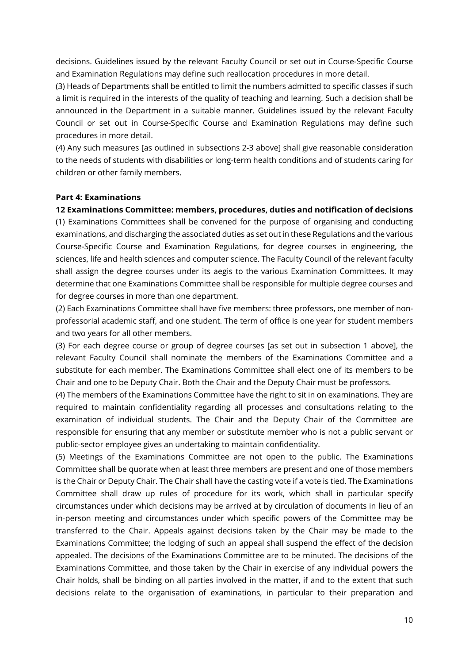decisions. Guidelines issued by the relevant Faculty Council or set out in Course-Specific Course and Examination Regulations may define such reallocation procedures in more detail.

(3) Heads of Departments shall be entitled to limit the numbers admitted to specific classes if such a limit is required in the interests of the quality of teaching and learning. Such a decision shall be announced in the Department in a suitable manner. Guidelines issued by the relevant Faculty Council or set out in Course-Specific Course and Examination Regulations may define such procedures in more detail.

(4) Any such measures [as outlined in subsections 2-3 above] shall give reasonable consideration to the needs of students with disabilities or long-term health conditions and of students caring for children or other family members.

#### **Part 4: Examinations**

#### **12 Examinations Committee: members, procedures, duties and notification of decisions**

(1) Examinations Committees shall be convened for the purpose of organising and conducting examinations, and discharging the associated duties as set out in these Regulations and the various Course-Specific Course and Examination Regulations, for degree courses in engineering, the sciences, life and health sciences and computer science. The Faculty Council of the relevant faculty shall assign the degree courses under its aegis to the various Examination Committees. It may determine that one Examinations Committee shall be responsible for multiple degree courses and for degree courses in more than one department.

(2) Each Examinations Committee shall have five members: three professors, one member of nonprofessorial academic staff, and one student. The term of office is one year for student members and two years for all other members.

(3) For each degree course or group of degree courses [as set out in subsection 1 above], the relevant Faculty Council shall nominate the members of the Examinations Committee and a substitute for each member. The Examinations Committee shall elect one of its members to be Chair and one to be Deputy Chair. Both the Chair and the Deputy Chair must be professors.

(4) The members of the Examinations Committee have the right to sit in on examinations. They are required to maintain confidentiality regarding all processes and consultations relating to the examination of individual students. The Chair and the Deputy Chair of the Committee are responsible for ensuring that any member or substitute member who is not a public servant or public-sector employee gives an undertaking to maintain confidentiality.

(5) Meetings of the Examinations Committee are not open to the public. The Examinations Committee shall be quorate when at least three members are present and one of those members is the Chair or Deputy Chair. The Chair shall have the casting vote if a vote is tied. The Examinations Committee shall draw up rules of procedure for its work, which shall in particular specify circumstances under which decisions may be arrived at by circulation of documents in lieu of an in-person meeting and circumstances under which specific powers of the Committee may be transferred to the Chair. Appeals against decisions taken by the Chair may be made to the Examinations Committee; the lodging of such an appeal shall suspend the effect of the decision appealed. The decisions of the Examinations Committee are to be minuted. The decisions of the Examinations Committee, and those taken by the Chair in exercise of any individual powers the Chair holds, shall be binding on all parties involved in the matter, if and to the extent that such decisions relate to the organisation of examinations, in particular to their preparation and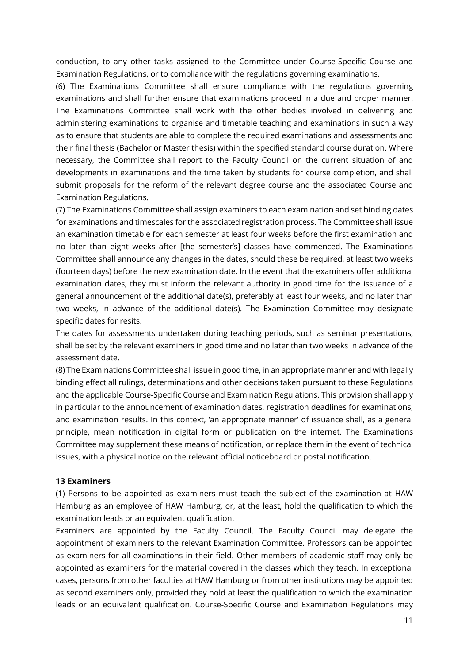conduction, to any other tasks assigned to the Committee under Course-Specific Course and Examination Regulations, or to compliance with the regulations governing examinations.

(6) The Examinations Committee shall ensure compliance with the regulations governing examinations and shall further ensure that examinations proceed in a due and proper manner. The Examinations Committee shall work with the other bodies involved in delivering and administering examinations to organise and timetable teaching and examinations in such a way as to ensure that students are able to complete the required examinations and assessments and their final thesis (Bachelor or Master thesis) within the specified standard course duration. Where necessary, the Committee shall report to the Faculty Council on the current situation of and developments in examinations and the time taken by students for course completion, and shall submit proposals for the reform of the relevant degree course and the associated Course and Examination Regulations.

(7) The Examinations Committee shall assign examiners to each examination and set binding dates for examinations and timescales for the associated registration process. The Committee shall issue an examination timetable for each semester at least four weeks before the first examination and no later than eight weeks after [the semester's] classes have commenced. The Examinations Committee shall announce any changes in the dates, should these be required, at least two weeks (fourteen days) before the new examination date. In the event that the examiners offer additional examination dates, they must inform the relevant authority in good time for the issuance of a general announcement of the additional date(s), preferably at least four weeks, and no later than two weeks, in advance of the additional date(s). The Examination Committee may designate specific dates for resits.

The dates for assessments undertaken during teaching periods, such as seminar presentations, shall be set by the relevant examiners in good time and no later than two weeks in advance of the assessment date.

(8) The Examinations Committee shall issue in good time, in an appropriate manner and with legally binding effect all rulings, determinations and other decisions taken pursuant to these Regulations and the applicable Course-Specific Course and Examination Regulations. This provision shall apply in particular to the announcement of examination dates, registration deadlines for examinations, and examination results. In this context, 'an appropriate manner' of issuance shall, as a general principle, mean notification in digital form or publication on the internet. The Examinations Committee may supplement these means of notification, or replace them in the event of technical issues, with a physical notice on the relevant official noticeboard or postal notification.

#### **13 Examiners**

(1) Persons to be appointed as examiners must teach the subject of the examination at HAW Hamburg as an employee of HAW Hamburg, or, at the least, hold the qualification to which the examination leads or an equivalent qualification.

Examiners are appointed by the Faculty Council. The Faculty Council may delegate the appointment of examiners to the relevant Examination Committee. Professors can be appointed as examiners for all examinations in their field. Other members of academic staff may only be appointed as examiners for the material covered in the classes which they teach. In exceptional cases, persons from other faculties at HAW Hamburg or from other institutions may be appointed as second examiners only, provided they hold at least the qualification to which the examination leads or an equivalent qualification. Course-Specific Course and Examination Regulations may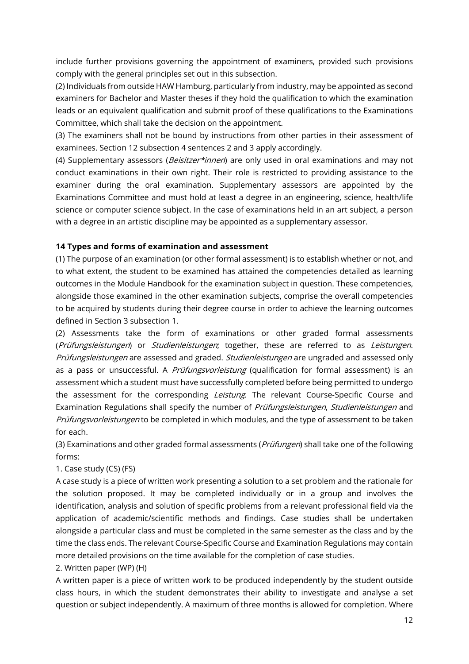include further provisions governing the appointment of examiners, provided such provisions comply with the general principles set out in this subsection.

(2) Individuals from outside HAW Hamburg, particularly from industry, may be appointed as second examiners for Bachelor and Master theses if they hold the qualification to which the examination leads or an equivalent qualification and submit proof of these qualifications to the Examinations Committee, which shall take the decision on the appointment.

(3) The examiners shall not be bound by instructions from other parties in their assessment of examinees. Section 12 subsection 4 sentences 2 and 3 apply accordingly.

(4) Supplementary assessors (*Beisitzer\*innen*) are only used in oral examinations and may not conduct examinations in their own right. Their role is restricted to providing assistance to the examiner during the oral examination. Supplementary assessors are appointed by the Examinations Committee and must hold at least a degree in an engineering, science, health/life science or computer science subject. In the case of examinations held in an art subject, a person with a degree in an artistic discipline may be appointed as a supplementary assessor.

### **14 Types and forms of examination and assessment**

(1) The purpose of an examination (or other formal assessment) is to establish whether or not, and to what extent, the student to be examined has attained the competencies detailed as learning outcomes in the Module Handbook for the examination subject in question. These competencies, alongside those examined in the other examination subjects, comprise the overall competencies to be acquired by students during their degree course in order to achieve the learning outcomes defined in Section 3 subsection 1.

(2) Assessments take the form of examinations or other graded formal assessments (Prüfungsleistungen) or Studienleistungen; together, these are referred to as Leistungen. Prüfungsleistungen are assessed and graded. Studienleistungen are ungraded and assessed only as a pass or unsuccessful. A *Prüfungsvorleistung* (qualification for formal assessment) is an assessment which a student must have successfully completed before being permitted to undergo the assessment for the corresponding Leistung. The relevant Course-Specific Course and Examination Regulations shall specify the number of Prüfungsleistungen, Studienleistungen and Prüfungsvorleistungen to be completed in which modules, and the type of assessment to be taken for each.

(3) Examinations and other graded formal assessments (Prüfungen) shall take one of the following forms:

### 1. Case study (CS) (FS)

A case study is a piece of written work presenting a solution to a set problem and the rationale for the solution proposed. It may be completed individually or in a group and involves the identification, analysis and solution of specific problems from a relevant professional field via the application of academic/scientific methods and findings. Case studies shall be undertaken alongside a particular class and must be completed in the same semester as the class and by the time the class ends. The relevant Course-Specific Course and Examination Regulations may contain more detailed provisions on the time available for the completion of case studies.

### 2. Written paper (WP) (H)

A written paper is a piece of written work to be produced independently by the student outside class hours, in which the student demonstrates their ability to investigate and analyse a set question or subject independently. A maximum of three months is allowed for completion. Where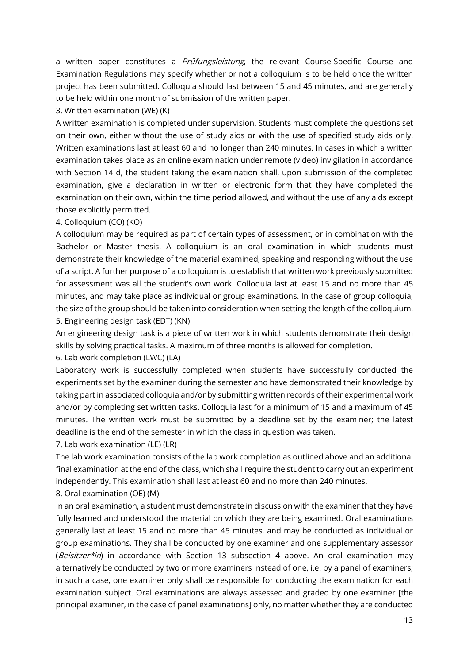a written paper constitutes a *Prüfungsleistung*, the relevant Course-Specific Course and Examination Regulations may specify whether or not a colloquium is to be held once the written project has been submitted. Colloquia should last between 15 and 45 minutes, and are generally to be held within one month of submission of the written paper.

### 3. Written examination (WE) (K)

A written examination is completed under supervision. Students must complete the questions set on their own, either without the use of study aids or with the use of specified study aids only. Written examinations last at least 60 and no longer than 240 minutes. In cases in which a written examination takes place as an online examination under remote (video) invigilation in accordance with Section 14 d, the student taking the examination shall, upon submission of the completed examination, give a declaration in written or electronic form that they have completed the examination on their own, within the time period allowed, and without the use of any aids except those explicitly permitted.

### 4. Colloquium (CO) (KO)

A colloquium may be required as part of certain types of assessment, or in combination with the Bachelor or Master thesis. A colloquium is an oral examination in which students must demonstrate their knowledge of the material examined, speaking and responding without the use of a script. A further purpose of a colloquium is to establish that written work previously submitted for assessment was all the student's own work. Colloquia last at least 15 and no more than 45 minutes, and may take place as individual or group examinations. In the case of group colloquia, the size of the group should be taken into consideration when setting the length of the colloquium. 5. Engineering design task (EDT) (KN)

An engineering design task is a piece of written work in which students demonstrate their design skills by solving practical tasks. A maximum of three months is allowed for completion.

6. Lab work completion (LWC) (LA)

Laboratory work is successfully completed when students have successfully conducted the experiments set by the examiner during the semester and have demonstrated their knowledge by taking part in associated colloquia and/or by submitting written records of their experimental work and/or by completing set written tasks. Colloquia last for a minimum of 15 and a maximum of 45 minutes. The written work must be submitted by a deadline set by the examiner; the latest deadline is the end of the semester in which the class in question was taken.

#### 7. Lab work examination (LE) (LR)

The lab work examination consists of the lab work completion as outlined above and an additional final examination at the end of the class, which shall require the student to carry out an experiment independently. This examination shall last at least 60 and no more than 240 minutes.

8. Oral examination (OE) (M)

In an oral examination, a student must demonstrate in discussion with the examiner that they have fully learned and understood the material on which they are being examined. Oral examinations generally last at least 15 and no more than 45 minutes, and may be conducted as individual or group examinations. They shall be conducted by one examiner and one supplementary assessor (Beisitzer\*in) in accordance with Section 13 subsection 4 above. An oral examination may alternatively be conducted by two or more examiners instead of one, i.e. by a panel of examiners; in such a case, one examiner only shall be responsible for conducting the examination for each examination subject. Oral examinations are always assessed and graded by one examiner [the principal examiner, in the case of panel examinations] only, no matter whether they are conducted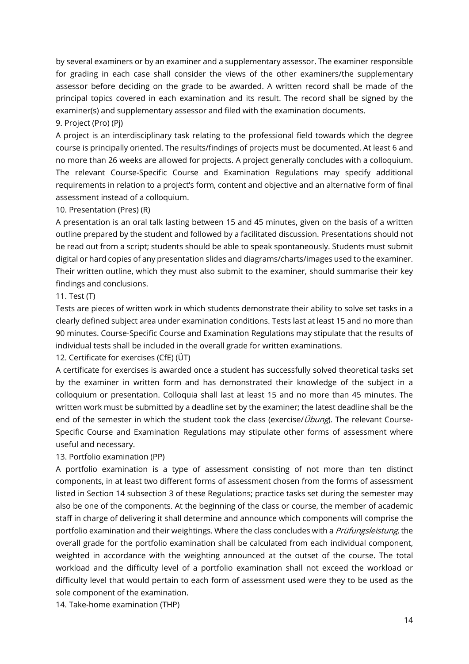by several examiners or by an examiner and a supplementary assessor. The examiner responsible for grading in each case shall consider the views of the other examiners/the supplementary assessor before deciding on the grade to be awarded. A written record shall be made of the principal topics covered in each examination and its result. The record shall be signed by the examiner(s) and supplementary assessor and filed with the examination documents.

### 9. Project (Pro) (Pj)

A project is an interdisciplinary task relating to the professional field towards which the degree course is principally oriented. The results/findings of projects must be documented. At least 6 and no more than 26 weeks are allowed for projects. A project generally concludes with a colloquium. The relevant Course-Specific Course and Examination Regulations may specify additional requirements in relation to a project's form, content and objective and an alternative form of final assessment instead of a colloquium.

### 10. Presentation (Pres) (R)

A presentation is an oral talk lasting between 15 and 45 minutes, given on the basis of a written outline prepared by the student and followed by a facilitated discussion. Presentations should not be read out from a script; students should be able to speak spontaneously. Students must submit digital or hard copies of any presentation slides and diagrams/charts/images used to the examiner. Their written outline, which they must also submit to the examiner, should summarise their key findings and conclusions.

### 11. Test (T)

Tests are pieces of written work in which students demonstrate their ability to solve set tasks in a clearly defined subject area under examination conditions. Tests last at least 15 and no more than 90 minutes. Course-Specific Course and Examination Regulations may stipulate that the results of individual tests shall be included in the overall grade for written examinations.

12. Certificate for exercises (CfE) (ÜT)

A certificate for exercises is awarded once a student has successfully solved theoretical tasks set by the examiner in written form and has demonstrated their knowledge of the subject in a colloquium or presentation. Colloquia shall last at least 15 and no more than 45 minutes. The written work must be submitted by a deadline set by the examiner; the latest deadline shall be the end of the semester in which the student took the class (exercise/ $Übung$ ). The relevant Course-Specific Course and Examination Regulations may stipulate other forms of assessment where useful and necessary.

### 13. Portfolio examination (PP)

A portfolio examination is a type of assessment consisting of not more than ten distinct components, in at least two different forms of assessment chosen from the forms of assessment listed in Section 14 subsection 3 of these Regulations; practice tasks set during the semester may also be one of the components. At the beginning of the class or course, the member of academic staff in charge of delivering it shall determine and announce which components will comprise the portfolio examination and their weightings. Where the class concludes with a *Prüfungsleistung*, the overall grade for the portfolio examination shall be calculated from each individual component, weighted in accordance with the weighting announced at the outset of the course. The total workload and the difficulty level of a portfolio examination shall not exceed the workload or difficulty level that would pertain to each form of assessment used were they to be used as the sole component of the examination.

14. Take-home examination (THP)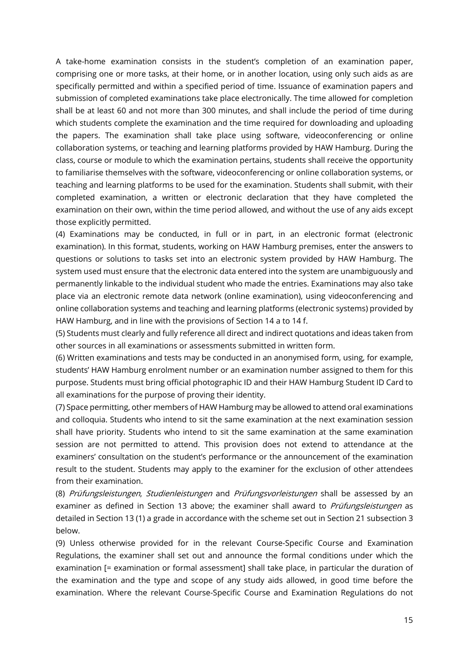A take-home examination consists in the student's completion of an examination paper, comprising one or more tasks, at their home, or in another location, using only such aids as are specifically permitted and within a specified period of time. Issuance of examination papers and submission of completed examinations take place electronically. The time allowed for completion shall be at least 60 and not more than 300 minutes, and shall include the period of time during which students complete the examination and the time required for downloading and uploading the papers. The examination shall take place using software, videoconferencing or online collaboration systems, or teaching and learning platforms provided by HAW Hamburg. During the class, course or module to which the examination pertains, students shall receive the opportunity to familiarise themselves with the software, videoconferencing or online collaboration systems, or teaching and learning platforms to be used for the examination. Students shall submit, with their completed examination, a written or electronic declaration that they have completed the examination on their own, within the time period allowed, and without the use of any aids except those explicitly permitted.

(4) Examinations may be conducted, in full or in part, in an electronic format (electronic examination). In this format, students, working on HAW Hamburg premises, enter the answers to questions or solutions to tasks set into an electronic system provided by HAW Hamburg. The system used must ensure that the electronic data entered into the system are unambiguously and permanently linkable to the individual student who made the entries. Examinations may also take place via an electronic remote data network (online examination), using videoconferencing and online collaboration systems and teaching and learning platforms (electronic systems) provided by HAW Hamburg, and in line with the provisions of Section 14 a to 14 f.

(5) Students must clearly and fully reference all direct and indirect quotations and ideas taken from other sources in all examinations or assessments submitted in written form.

(6) Written examinations and tests may be conducted in an anonymised form, using, for example, students' HAW Hamburg enrolment number or an examination number assigned to them for this purpose. Students must bring official photographic ID and their HAW Hamburg Student ID Card to all examinations for the purpose of proving their identity.

(7) Space permitting, other members of HAW Hamburg may be allowed to attend oral examinations and colloquia. Students who intend to sit the same examination at the next examination session shall have priority. Students who intend to sit the same examination at the same examination session are not permitted to attend. This provision does not extend to attendance at the examiners' consultation on the student's performance or the announcement of the examination result to the student. Students may apply to the examiner for the exclusion of other attendees from their examination.

(8) Prüfungsleistungen, Studienleistungen and Prüfungsvorleistungen shall be assessed by an examiner as defined in Section 13 above; the examiner shall award to *Prüfungsleistungen* as detailed in Section 13 (1) a grade in accordance with the scheme set out in Section 21 subsection 3 below.

(9) Unless otherwise provided for in the relevant Course-Specific Course and Examination Regulations, the examiner shall set out and announce the formal conditions under which the examination [= examination or formal assessment] shall take place, in particular the duration of the examination and the type and scope of any study aids allowed, in good time before the examination. Where the relevant Course-Specific Course and Examination Regulations do not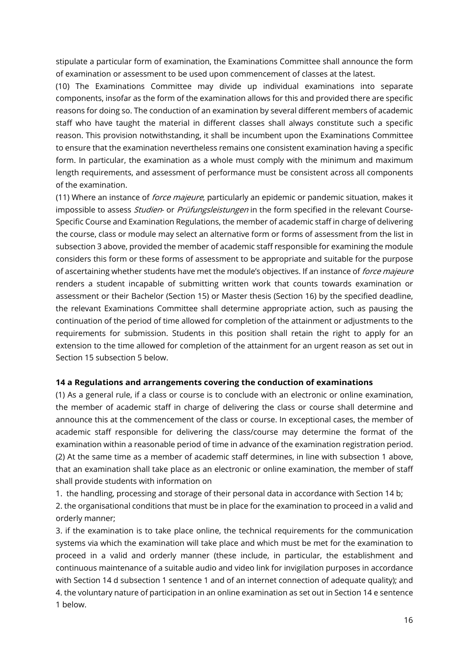stipulate a particular form of examination, the Examinations Committee shall announce the form of examination or assessment to be used upon commencement of classes at the latest.

(10) The Examinations Committee may divide up individual examinations into separate components, insofar as the form of the examination allows for this and provided there are specific reasons for doing so. The conduction of an examination by several different members of academic staff who have taught the material in different classes shall always constitute such a specific reason. This provision notwithstanding, it shall be incumbent upon the Examinations Committee to ensure that the examination nevertheless remains one consistent examination having a specific form. In particular, the examination as a whole must comply with the minimum and maximum length requirements, and assessment of performance must be consistent across all components of the examination.

(11) Where an instance of *force majeure*, particularly an epidemic or pandemic situation, makes it impossible to assess *Studien*- or *Prüfungsleistungen* in the form specified in the relevant Course-Specific Course and Examination Regulations, the member of academic staff in charge of delivering the course, class or module may select an alternative form or forms of assessment from the list in subsection 3 above, provided the member of academic staff responsible for examining the module considers this form or these forms of assessment to be appropriate and suitable for the purpose of ascertaining whether students have met the module's objectives. If an instance of *force majeure* renders a student incapable of submitting written work that counts towards examination or assessment or their Bachelor (Section 15) or Master thesis (Section 16) by the specified deadline, the relevant Examinations Committee shall determine appropriate action, such as pausing the continuation of the period of time allowed for completion of the attainment or adjustments to the requirements for submission. Students in this position shall retain the right to apply for an extension to the time allowed for completion of the attainment for an urgent reason as set out in Section 15 subsection 5 below.

### **14 a Regulations and arrangements covering the conduction of examinations**

(1) As a general rule, if a class or course is to conclude with an electronic or online examination, the member of academic staff in charge of delivering the class or course shall determine and announce this at the commencement of the class or course. In exceptional cases, the member of academic staff responsible for delivering the class/course may determine the format of the examination within a reasonable period of time in advance of the examination registration period. (2) At the same time as a member of academic staff determines, in line with subsection 1 above, that an examination shall take place as an electronic or online examination, the member of staff shall provide students with information on

1. the handling, processing and storage of their personal data in accordance with Section 14 b;

2. the organisational conditions that must be in place for the examination to proceed in a valid and orderly manner;

3. if the examination is to take place online, the technical requirements for the communication systems via which the examination will take place and which must be met for the examination to proceed in a valid and orderly manner (these include, in particular, the establishment and continuous maintenance of a suitable audio and video link for invigilation purposes in accordance with Section 14 d subsection 1 sentence 1 and of an internet connection of adequate quality); and 4. the voluntary nature of participation in an online examination as set out in Section 14 e sentence 1 below.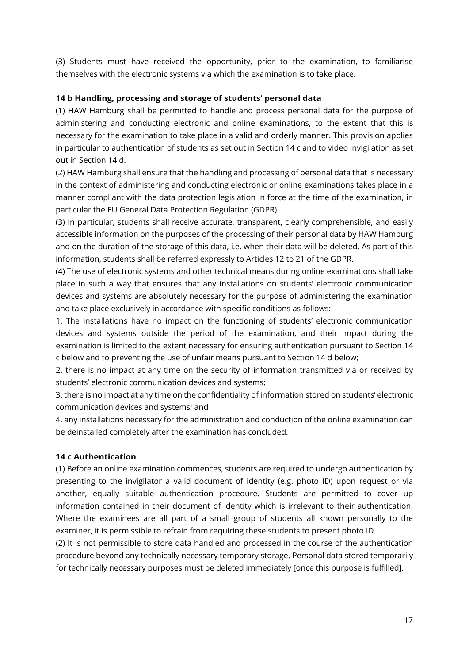(3) Students must have received the opportunity, prior to the examination, to familiarise themselves with the electronic systems via which the examination is to take place.

### **14 b Handling, processing and storage of students' personal data**

(1) HAW Hamburg shall be permitted to handle and process personal data for the purpose of administering and conducting electronic and online examinations, to the extent that this is necessary for the examination to take place in a valid and orderly manner. This provision applies in particular to authentication of students as set out in Section 14 c and to video invigilation as set out in Section 14 d.

(2) HAW Hamburg shall ensure that the handling and processing of personal data that is necessary in the context of administering and conducting electronic or online examinations takes place in a manner compliant with the data protection legislation in force at the time of the examination, in particular the EU General Data Protection Regulation (GDPR).

(3) In particular, students shall receive accurate, transparent, clearly comprehensible, and easily accessible information on the purposes of the processing of their personal data by HAW Hamburg and on the duration of the storage of this data, i.e. when their data will be deleted. As part of this information, students shall be referred expressly to Articles 12 to 21 of the GDPR.

(4) The use of electronic systems and other technical means during online examinations shall take place in such a way that ensures that any installations on students' electronic communication devices and systems are absolutely necessary for the purpose of administering the examination and take place exclusively in accordance with specific conditions as follows:

1. The installations have no impact on the functioning of students' electronic communication devices and systems outside the period of the examination, and their impact during the examination is limited to the extent necessary for ensuring authentication pursuant to Section 14 c below and to preventing the use of unfair means pursuant to Section 14 d below;

2. there is no impact at any time on the security of information transmitted via or received by students' electronic communication devices and systems;

3. there is no impact at any time on the confidentiality of information stored on students' electronic communication devices and systems; and

4. any installations necessary for the administration and conduction of the online examination can be deinstalled completely after the examination has concluded.

### **14 c Authentication**

(1) Before an online examination commences, students are required to undergo authentication by presenting to the invigilator a valid document of identity (e.g. photo ID) upon request or via another, equally suitable authentication procedure. Students are permitted to cover up information contained in their document of identity which is irrelevant to their authentication. Where the examinees are all part of a small group of students all known personally to the examiner, it is permissible to refrain from requiring these students to present photo ID.

(2) It is not permissible to store data handled and processed in the course of the authentication procedure beyond any technically necessary temporary storage. Personal data stored temporarily for technically necessary purposes must be deleted immediately [once this purpose is fulfilled].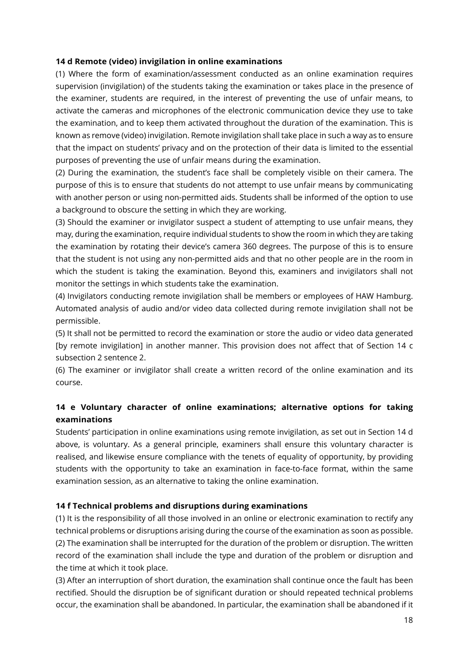### **14 d Remote (video) invigilation in online examinations**

(1) Where the form of examination/assessment conducted as an online examination requires supervision (invigilation) of the students taking the examination or takes place in the presence of the examiner, students are required, in the interest of preventing the use of unfair means, to activate the cameras and microphones of the electronic communication device they use to take the examination, and to keep them activated throughout the duration of the examination. This is known as remove (video) invigilation. Remote invigilation shall take place in such a way as to ensure that the impact on students' privacy and on the protection of their data is limited to the essential purposes of preventing the use of unfair means during the examination.

(2) During the examination, the student's face shall be completely visible on their camera. The purpose of this is to ensure that students do not attempt to use unfair means by communicating with another person or using non-permitted aids. Students shall be informed of the option to use a background to obscure the setting in which they are working.

(3) Should the examiner or invigilator suspect a student of attempting to use unfair means, they may, during the examination, require individual students to show the room in which they are taking the examination by rotating their device's camera 360 degrees. The purpose of this is to ensure that the student is not using any non-permitted aids and that no other people are in the room in which the student is taking the examination. Beyond this, examiners and invigilators shall not monitor the settings in which students take the examination.

(4) Invigilators conducting remote invigilation shall be members or employees of HAW Hamburg. Automated analysis of audio and/or video data collected during remote invigilation shall not be permissible.

(5) It shall not be permitted to record the examination or store the audio or video data generated [by remote invigilation] in another manner. This provision does not affect that of Section 14 c subsection 2 sentence 2.

(6) The examiner or invigilator shall create a written record of the online examination and its course.

# **14 e Voluntary character of online examinations; alternative options for taking examinations**

Students' participation in online examinations using remote invigilation, as set out in Section 14 d above, is voluntary. As a general principle, examiners shall ensure this voluntary character is realised, and likewise ensure compliance with the tenets of equality of opportunity, by providing students with the opportunity to take an examination in face-to-face format, within the same examination session, as an alternative to taking the online examination.

### **14 f Technical problems and disruptions during examinations**

(1) It is the responsibility of all those involved in an online or electronic examination to rectify any technical problems or disruptions arising during the course of the examination as soon as possible. (2) The examination shall be interrupted for the duration of the problem or disruption. The written record of the examination shall include the type and duration of the problem or disruption and the time at which it took place.

(3) After an interruption of short duration, the examination shall continue once the fault has been rectified. Should the disruption be of significant duration or should repeated technical problems occur, the examination shall be abandoned. In particular, the examination shall be abandoned if it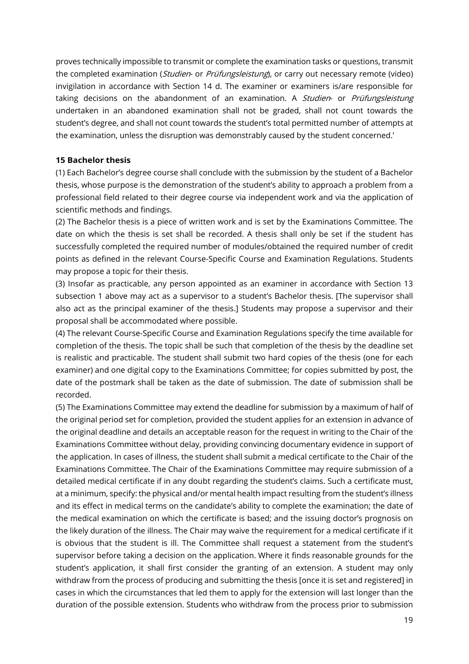proves technically impossible to transmit or complete the examination tasks or questions, transmit the completed examination (Studien- or Prüfungsleistung), or carry out necessary remote (video) invigilation in accordance with Section 14 d. The examiner or examiners is/are responsible for taking decisions on the abandonment of an examination. A Studien- or Prüfungsleistung undertaken in an abandoned examination shall not be graded, shall not count towards the student's degree, and shall not count towards the student's total permitted number of attempts at the examination, unless the disruption was demonstrably caused by the student concerned.'

### **15 Bachelor thesis**

(1) Each Bachelor's degree course shall conclude with the submission by the student of a Bachelor thesis, whose purpose is the demonstration of the student's ability to approach a problem from a professional field related to their degree course via independent work and via the application of scientific methods and findings.

(2) The Bachelor thesis is a piece of written work and is set by the Examinations Committee. The date on which the thesis is set shall be recorded. A thesis shall only be set if the student has successfully completed the required number of modules/obtained the required number of credit points as defined in the relevant Course-Specific Course and Examination Regulations. Students may propose a topic for their thesis.

(3) Insofar as practicable, any person appointed as an examiner in accordance with Section 13 subsection 1 above may act as a supervisor to a student's Bachelor thesis. [The supervisor shall also act as the principal examiner of the thesis.] Students may propose a supervisor and their proposal shall be accommodated where possible.

(4) The relevant Course-Specific Course and Examination Regulations specify the time available for completion of the thesis. The topic shall be such that completion of the thesis by the deadline set is realistic and practicable. The student shall submit two hard copies of the thesis (one for each examiner) and one digital copy to the Examinations Committee; for copies submitted by post, the date of the postmark shall be taken as the date of submission. The date of submission shall be recorded.

(5) The Examinations Committee may extend the deadline for submission by a maximum of half of the original period set for completion, provided the student applies for an extension in advance of the original deadline and details an acceptable reason for the request in writing to the Chair of the Examinations Committee without delay, providing convincing documentary evidence in support of the application. In cases of illness, the student shall submit a medical certificate to the Chair of the Examinations Committee. The Chair of the Examinations Committee may require submission of a detailed medical certificate if in any doubt regarding the student's claims. Such a certificate must, at a minimum, specify: the physical and/or mental health impact resulting from the student's illness and its effect in medical terms on the candidate's ability to complete the examination; the date of the medical examination on which the certificate is based; and the issuing doctor's prognosis on the likely duration of the illness. The Chair may waive the requirement for a medical certificate if it is obvious that the student is ill. The Committee shall request a statement from the student's supervisor before taking a decision on the application. Where it finds reasonable grounds for the student's application, it shall first consider the granting of an extension. A student may only withdraw from the process of producing and submitting the thesis [once it is set and registered] in cases in which the circumstances that led them to apply for the extension will last longer than the duration of the possible extension. Students who withdraw from the process prior to submission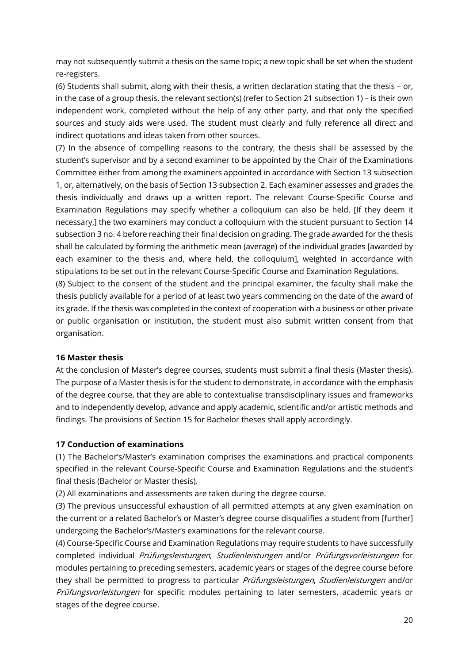may not subsequently submit a thesis on the same topic; a new topic shall be set when the student re-registers.

(6) Students shall submit, along with their thesis, a written declaration stating that the thesis – or, in the case of a group thesis, the relevant section(s) (refer to Section 21 subsection 1) – is their own independent work, completed without the help of any other party, and that only the specified sources and study aids were used. The student must clearly and fully reference all direct and indirect quotations and ideas taken from other sources.

(7) In the absence of compelling reasons to the contrary, the thesis shall be assessed by the student's supervisor and by a second examiner to be appointed by the Chair of the Examinations Committee either from among the examiners appointed in accordance with Section 13 subsection 1, or, alternatively, on the basis of Section 13 subsection 2. Each examiner assesses and grades the thesis individually and draws up a written report. The relevant Course-Specific Course and Examination Regulations may specify whether a colloquium can also be held. [If they deem it necessary,] the two examiners may conduct a colloquium with the student pursuant to Section 14 subsection 3 no. 4 before reaching their final decision on grading. The grade awarded for the thesis shall be calculated by forming the arithmetic mean (average) of the individual grades [awarded by each examiner to the thesis and, where held, the colloquium], weighted in accordance with stipulations to be set out in the relevant Course-Specific Course and Examination Regulations.

(8) Subject to the consent of the student and the principal examiner, the faculty shall make the thesis publicly available for a period of at least two years commencing on the date of the award of its grade. If the thesis was completed in the context of cooperation with a business or other private or public organisation or institution, the student must also submit written consent from that organisation.

### **16 Master thesis**

At the conclusion of Master's degree courses, students must submit a final thesis (Master thesis). The purpose of a Master thesis is for the student to demonstrate, in accordance with the emphasis of the degree course, that they are able to contextualise transdisciplinary issues and frameworks and to independently develop, advance and apply academic, scientific and/or artistic methods and findings. The provisions of Section 15 for Bachelor theses shall apply accordingly.

### **17 Conduction of examinations**

(1) The Bachelor's/Master's examination comprises the examinations and practical components specified in the relevant Course-Specific Course and Examination Regulations and the student's final thesis (Bachelor or Master thesis).

(2) All examinations and assessments are taken during the degree course.

(3) The previous unsuccessful exhaustion of all permitted attempts at any given examination on the current or a related Bachelor's or Master's degree course disqualifies a student from [further] undergoing the Bachelor's/Master's examinations for the relevant course.

(4) Course-Specific Course and Examination Regulations may require students to have successfully completed individual Prüfungsleistungen, Studienleistungen and/or Prüfungsvorleistungen for modules pertaining to preceding semesters, academic years or stages of the degree course before they shall be permitted to progress to particular *Prüfungsleistungen*, *Studienleistungen* and/or Prüfungsvorleistungen for specific modules pertaining to later semesters, academic years or stages of the degree course.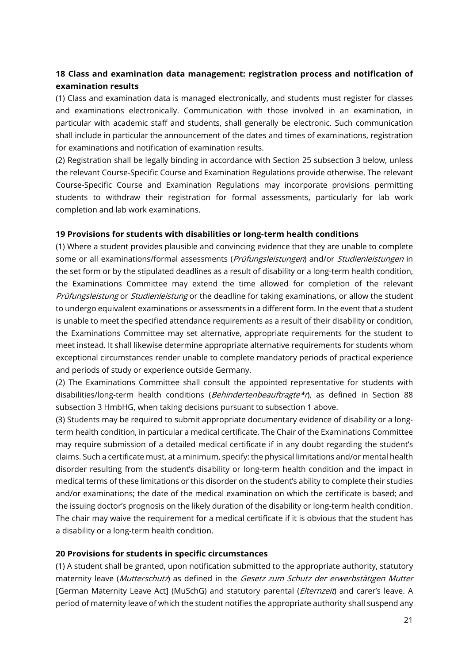# **18 Class and examination data management: registration process and notification of examination results**

(1) Class and examination data is managed electronically, and students must register for classes and examinations electronically. Communication with those involved in an examination, in particular with academic staff and students, shall generally be electronic. Such communication shall include in particular the announcement of the dates and times of examinations, registration for examinations and notification of examination results.

(2) Registration shall be legally binding in accordance with Section 25 subsection 3 below, unless the relevant Course-Specific Course and Examination Regulations provide otherwise. The relevant Course-Specific Course and Examination Regulations may incorporate provisions permitting students to withdraw their registration for formal assessments, particularly for lab work completion and lab work examinations.

### **19 Provisions for students with disabilities or long-term health conditions**

(1) Where a student provides plausible and convincing evidence that they are unable to complete some or all examinations/formal assessments (Prüfungsleistungen) and/or Studienleistungen in the set form or by the stipulated deadlines as a result of disability or a long-term health condition, the Examinations Committee may extend the time allowed for completion of the relevant Prüfungsleistung or Studienleistung or the deadline for taking examinations, or allow the student to undergo equivalent examinations or assessments in a different form. In the event that a student is unable to meet the specified attendance requirements as a result of their disability or condition, the Examinations Committee may set alternative, appropriate requirements for the student to meet instead. It shall likewise determine appropriate alternative requirements for students whom exceptional circumstances render unable to complete mandatory periods of practical experience and periods of study or experience outside Germany.

(2) The Examinations Committee shall consult the appointed representative for students with disabilities/long-term health conditions (*Behindertenbeauftragte\*r*), as defined in Section 88 subsection 3 HmbHG, when taking decisions pursuant to subsection 1 above.

(3) Students may be required to submit appropriate documentary evidence of disability or a longterm health condition, in particular a medical certificate. The Chair of the Examinations Committee may require submission of a detailed medical certificate if in any doubt regarding the student's claims. Such a certificate must, at a minimum, specify: the physical limitations and/or mental health disorder resulting from the student's disability or long-term health condition and the impact in medical terms of these limitations or this disorder on the student's ability to complete their studies and/or examinations; the date of the medical examination on which the certificate is based; and the issuing doctor's prognosis on the likely duration of the disability or long-term health condition. The chair may waive the requirement for a medical certificate if it is obvious that the student has a disability or a long-term health condition.

### **20 Provisions for students in specific circumstances**

(1) A student shall be granted, upon notification submitted to the appropriate authority, statutory maternity leave (Mutterschutz) as defined in the Gesetz zum Schutz der erwerbstätigen Mutter [German Maternity Leave Act] (MuSchG) and statutory parental (*Elternzeit*) and carer's leave. A period of maternity leave of which the student notifies the appropriate authority shall suspend any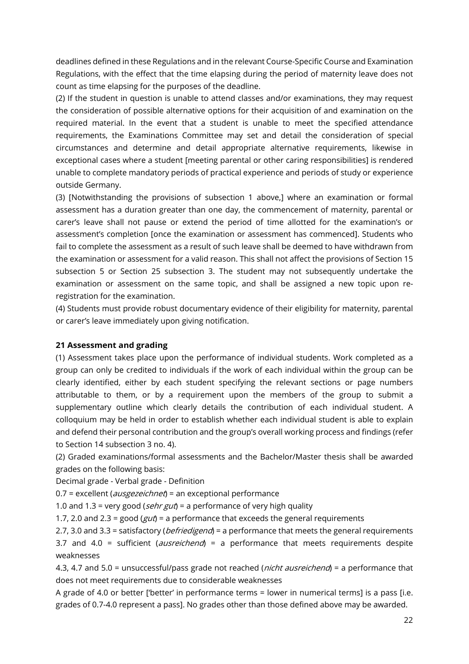deadlines defined in these Regulations and in the relevant Course-Specific Course and Examination Regulations, with the effect that the time elapsing during the period of maternity leave does not count as time elapsing for the purposes of the deadline.

(2) If the student in question is unable to attend classes and/or examinations, they may request the consideration of possible alternative options for their acquisition of and examination on the required material. In the event that a student is unable to meet the specified attendance requirements, the Examinations Committee may set and detail the consideration of special circumstances and determine and detail appropriate alternative requirements, likewise in exceptional cases where a student [meeting parental or other caring responsibilities] is rendered unable to complete mandatory periods of practical experience and periods of study or experience outside Germany.

(3) [Notwithstanding the provisions of subsection 1 above,] where an examination or formal assessment has a duration greater than one day, the commencement of maternity, parental or carer's leave shall not pause or extend the period of time allotted for the examination's or assessment's completion [once the examination or assessment has commenced]. Students who fail to complete the assessment as a result of such leave shall be deemed to have withdrawn from the examination or assessment for a valid reason. This shall not affect the provisions of Section 15 subsection 5 or Section 25 subsection 3. The student may not subsequently undertake the examination or assessment on the same topic, and shall be assigned a new topic upon reregistration for the examination.

(4) Students must provide robust documentary evidence of their eligibility for maternity, parental or carer's leave immediately upon giving notification.

### **21 Assessment and grading**

(1) Assessment takes place upon the performance of individual students. Work completed as a group can only be credited to individuals if the work of each individual within the group can be clearly identified, either by each student specifying the relevant sections or page numbers attributable to them, or by a requirement upon the members of the group to submit a supplementary outline which clearly details the contribution of each individual student. A colloquium may be held in order to establish whether each individual student is able to explain and defend their personal contribution and the group's overall working process and findings (refer to Section 14 subsection 3 no. 4).

(2) Graded examinations/formal assessments and the Bachelor/Master thesis shall be awarded grades on the following basis:

Decimal grade - Verbal grade - Definition

 $0.7$  = excellent (*ausgezeichnet*) = an exceptional performance

1.0 and 1.3 = very good (*sehr gut*) = a performance of very high quality

1.7, 2.0 and 2.3 = good ( $gut$ ) = a performance that exceeds the general requirements

2.7, 3.0 and 3.3 = satisfactory (*befriedigend*) = a performance that meets the general requirements

3.7 and 4.0 = sufficient (*ausreichend*) = a performance that meets requirements despite weaknesses

4.3, 4.7 and 5.0 = unsuccessful/pass grade not reached (*nicht ausreichend*) = a performance that does not meet requirements due to considerable weaknesses

A grade of 4.0 or better ['better' in performance terms = lower in numerical terms] is a pass [i.e. grades of 0.7-4.0 represent a pass]. No grades other than those defined above may be awarded.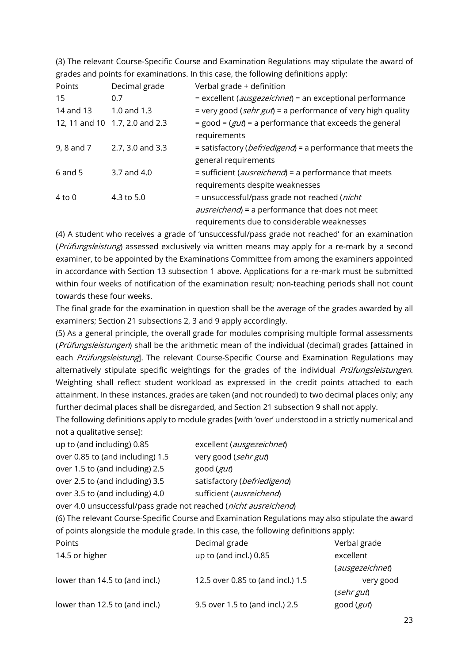|             |                                | grades and points for examinations. In this case, the following definitions apply: |
|-------------|--------------------------------|------------------------------------------------------------------------------------|
| Points      | Decimal grade                  | Verbal grade + definition                                                          |
| 15          | 0.7                            | = excellent (ausgezeichnet) = an exceptional performance                           |
| 14 and 13   | 1.0 and 1.3                    | = very good ( <i>sehr gut</i> ) = a performance of very high quality               |
|             | 12, 11 and 10 1.7, 2.0 and 2.3 | $=$ good = ( $gut$ ) = a performance that exceeds the general                      |
|             |                                | requirements                                                                       |
| 9, 8 and 7  | 2.7, 3.0 and 3.3               | = satisfactory ( <i>befriedigend</i> ) = a performance that meets the              |
|             |                                | general requirements                                                               |
| $6$ and $5$ | 3.7 and 4.0                    | = sufficient ( <i>ausreichend</i> ) = a performance that meets                     |
|             |                                | requirements despite weaknesses                                                    |
| $4$ to $0$  | 4.3 to 5.0                     | = unsuccessful/pass grade not reached ( <i>nicht</i>                               |
|             |                                | <i>ausreichend</i> ) = a performance that does not meet                            |
|             |                                | requirements due to considerable weaknesses                                        |

(3) The relevant Course-Specific Course and Examination Regulations may stipulate the award of

(4) A student who receives a grade of 'unsuccessful/pass grade not reached' for an examination (Prüfungsleistung) assessed exclusively via written means may apply for a re-mark by a second examiner, to be appointed by the Examinations Committee from among the examiners appointed in accordance with Section 13 subsection 1 above. Applications for a re-mark must be submitted within four weeks of notification of the examination result; non-teaching periods shall not count towards these four weeks.

The final grade for the examination in question shall be the average of the grades awarded by all examiners; Section 21 subsections 2, 3 and 9 apply accordingly.

(5) As a general principle, the overall grade for modules comprising multiple formal assessments (Prüfungsleistungen) shall be the arithmetic mean of the individual (decimal) grades [attained in each Prüfungsleistung]. The relevant Course-Specific Course and Examination Regulations may alternatively stipulate specific weightings for the grades of the individual *Prüfungsleistungen*. Weighting shall reflect student workload as expressed in the credit points attached to each attainment. In these instances, grades are taken (and not rounded) to two decimal places only; any further decimal places shall be disregarded, and Section 21 subsection 9 shall not apply.

The following definitions apply to module grades [with 'over' understood in a strictly numerical and not a qualitative sense]:

| up to (and including) 0.85                                    | excellent (ausgezeichnet)   |
|---------------------------------------------------------------|-----------------------------|
| over 0.85 to (and including) 1.5                              | very good (sehr gut)        |
| over 1.5 to (and including) 2.5                               | good (gut)                  |
| over 2.5 to (and including) 3.5                               | satisfactory (befriedigend) |
| over 3.5 to (and including) 4.0                               | sufficient (ausreichend)    |
| aver 1.0 uncurrectullage grade pot reached (picht averaichene |                             |

over 4.0 unsuccessful/pass grade not reached (nicht ausreichend)

(6) The relevant Course-Specific Course and Examination Regulations may also stipulate the award of points alongside the module grade. In this case, the following definitions apply:

| Points                         | Decimal grade                     | Verbal grade    |
|--------------------------------|-----------------------------------|-----------------|
| 14.5 or higher                 | up to (and incl.) 0.85            | excellent       |
|                                |                                   | (ausgezeichnet) |
| lower than 14.5 to (and incl.) | 12.5 over 0.85 to (and incl.) 1.5 | very good       |
|                                |                                   | (sehrgut)       |
| lower than 12.5 to (and incl.) | 9.5 over 1.5 to (and incl.) 2.5   | good (gut)      |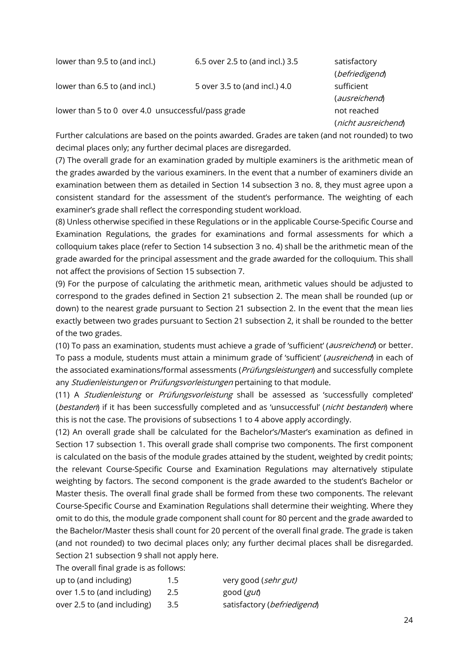| lower than 9.5 to (and incl.)                      | 6.5 over 2.5 to (and incl.) 3.5 | satisfactory<br>(befriedigend) |
|----------------------------------------------------|---------------------------------|--------------------------------|
| lower than 6.5 to (and incl.)                      | 5 over 3.5 to (and incl.) 4.0   | sufficient                     |
|                                                    |                                 | (ausreichend)                  |
| lower than 5 to 0 over 4.0 unsuccessful/pass grade |                                 | not reached                    |
|                                                    |                                 | (nicht ausreichend)            |

Further calculations are based on the points awarded. Grades are taken (and not rounded) to two decimal places only; any further decimal places are disregarded.

(7) The overall grade for an examination graded by multiple examiners is the arithmetic mean of the grades awarded by the various examiners. In the event that a number of examiners divide an examination between them as detailed in Section 14 subsection 3 no. 8, they must agree upon a consistent standard for the assessment of the student's performance. The weighting of each examiner's grade shall reflect the corresponding student workload.

(8) Unless otherwise specified in these Regulations or in the applicable Course-Specific Course and Examination Regulations, the grades for examinations and formal assessments for which a colloquium takes place (refer to Section 14 subsection 3 no. 4) shall be the arithmetic mean of the grade awarded for the principal assessment and the grade awarded for the colloquium. This shall not affect the provisions of Section 15 subsection 7.

(9) For the purpose of calculating the arithmetic mean, arithmetic values should be adjusted to correspond to the grades defined in Section 21 subsection 2. The mean shall be rounded (up or down) to the nearest grade pursuant to Section 21 subsection 2. In the event that the mean lies exactly between two grades pursuant to Section 21 subsection 2, it shall be rounded to the better of the two grades.

(10) To pass an examination, students must achieve a grade of 'sufficient' (ausreichend) or better. To pass a module, students must attain a minimum grade of 'sufficient' (ausreichend) in each of the associated examinations/formal assessments (*Prüfungsleistungen*) and successfully complete any Studienleistungen or Prüfungsvorleistungen pertaining to that module.

(11) A *Studienleistung* or *Prüfungsvorleistung* shall be assessed as 'successfully completed' (bestanden) if it has been successfully completed and as 'unsuccessful' (nicht bestanden) where this is not the case. The provisions of subsections 1 to 4 above apply accordingly.

(12) An overall grade shall be calculated for the Bachelor's/Master's examination as defined in Section 17 subsection 1. This overall grade shall comprise two components. The first component is calculated on the basis of the module grades attained by the student, weighted by credit points; the relevant Course-Specific Course and Examination Regulations may alternatively stipulate weighting by factors. The second component is the grade awarded to the student's Bachelor or Master thesis. The overall final grade shall be formed from these two components. The relevant Course-Specific Course and Examination Regulations shall determine their weighting. Where they omit to do this, the module grade component shall count for 80 percent and the grade awarded to the Bachelor/Master thesis shall count for 20 percent of the overall final grade. The grade is taken (and not rounded) to two decimal places only; any further decimal places shall be disregarded. Section 21 subsection 9 shall not apply here.

The overall final grade is as follows:

| up to (and including)       | $1.5^{\circ}$ | very good (sehr gut)        |
|-----------------------------|---------------|-----------------------------|
| over 1.5 to (and including) | 2.5           | good ( <i>gut</i> )         |
| over 2.5 to (and including) | 3.5           | satisfactory (befriedigend) |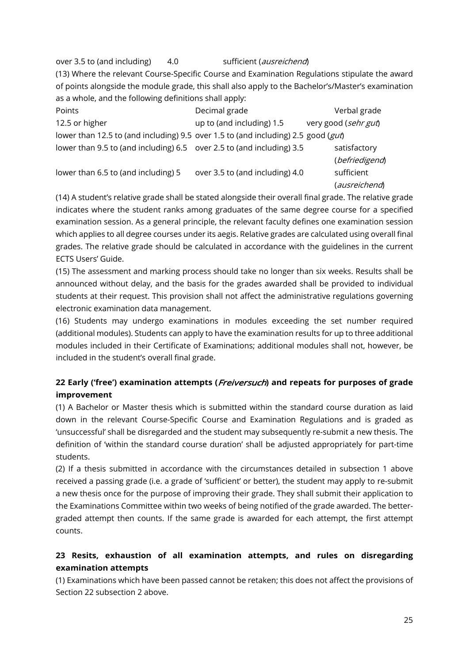over 3.5 to (and including) 4.0 sufficient (*ausreichend*)

(13) Where the relevant Course-Specific Course and Examination Regulations stipulate the award of points alongside the module grade, this shall also apply to the Bachelor's/Master's examination as a whole, and the following definitions shall apply:

| Points                                                                                | Decimal grade                   | Verbal grade         |
|---------------------------------------------------------------------------------------|---------------------------------|----------------------|
| 12.5 or higher                                                                        | up to (and including) 1.5       | very good (sehr gut) |
| lower than 12.5 to (and including) 9.5 over 1.5 to (and including) 2.5 good ( $gut$ ) |                                 |                      |
| lower than 9.5 to (and including) 6.5 over 2.5 to (and including) 3.5                 |                                 | satisfactory         |
|                                                                                       |                                 | (befriedigend)       |
| lower than 6.5 to (and including) 5                                                   | over 3.5 to (and including) 4.0 | sufficient           |
|                                                                                       |                                 | (ausreichend)        |

(14) A student's relative grade shall be stated alongside their overall final grade. The relative grade indicates where the student ranks among graduates of the same degree course for a specified examination session. As a general principle, the relevant faculty defines one examination session which applies to all degree courses under its aegis. Relative grades are calculated using overall final grades. The relative grade should be calculated in accordance with the guidelines in the current ECTS Users' Guide.

(15) The assessment and marking process should take no longer than six weeks. Results shall be announced without delay, and the basis for the grades awarded shall be provided to individual students at their request. This provision shall not affect the administrative regulations governing electronic examination data management.

(16) Students may undergo examinations in modules exceeding the set number required (additional modules). Students can apply to have the examination results for up to three additional modules included in their Certificate of Examinations; additional modules shall not, however, be included in the student's overall final grade.

# **22 Early ('free') examination attempts (**Freiversuch**) and repeats for purposes of grade improvement**

(1) A Bachelor or Master thesis which is submitted within the standard course duration as laid down in the relevant Course-Specific Course and Examination Regulations and is graded as 'unsuccessful' shall be disregarded and the student may subsequently re-submit a new thesis. The definition of 'within the standard course duration' shall be adjusted appropriately for part-time students.

(2) If a thesis submitted in accordance with the circumstances detailed in subsection 1 above received a passing grade (i.e. a grade of 'sufficient' or better), the student may apply to re-submit a new thesis once for the purpose of improving their grade. They shall submit their application to the Examinations Committee within two weeks of being notified of the grade awarded. The bettergraded attempt then counts. If the same grade is awarded for each attempt, the first attempt counts.

# **23 Resits, exhaustion of all examination attempts, and rules on disregarding examination attempts**

(1) Examinations which have been passed cannot be retaken; this does not affect the provisions of Section 22 subsection 2 above.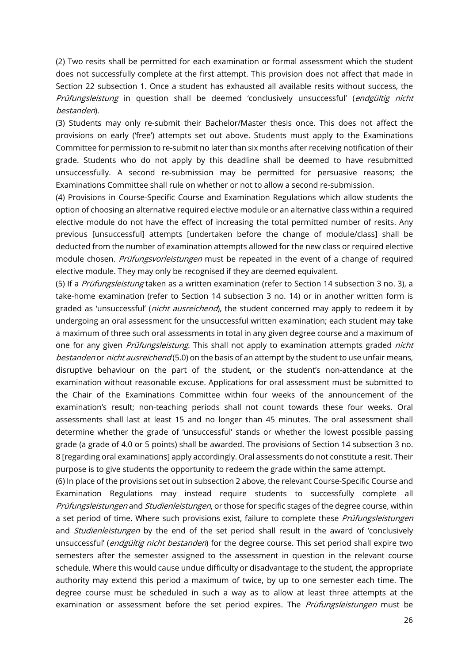(2) Two resits shall be permitted for each examination or formal assessment which the student does not successfully complete at the first attempt. This provision does not affect that made in Section 22 subsection 1. Once a student has exhausted all available resits without success, the Prüfungsleistung in question shall be deemed 'conclusively unsuccessful' (endgültig nicht bestanden).

(3) Students may only re-submit their Bachelor/Master thesis once. This does not affect the provisions on early ('free') attempts set out above. Students must apply to the Examinations Committee for permission to re-submit no later than six months after receiving notification of their grade. Students who do not apply by this deadline shall be deemed to have resubmitted unsuccessfully. A second re-submission may be permitted for persuasive reasons; the Examinations Committee shall rule on whether or not to allow a second re-submission.

(4) Provisions in Course-Specific Course and Examination Regulations which allow students the option of choosing an alternative required elective module or an alternative class within a required elective module do not have the effect of increasing the total permitted number of resits. Any previous [unsuccessful] attempts [undertaken before the change of module/class] shall be deducted from the number of examination attempts allowed for the new class or required elective module chosen. Prüfungsvorleistungen must be repeated in the event of a change of required elective module. They may only be recognised if they are deemed equivalent.

(5) If a *Prüfungsleistung* taken as a written examination (refer to Section 14 subsection 3 no. 3), a take-home examination (refer to Section 14 subsection 3 no. 14) or in another written form is graded as 'unsuccessful' (*nicht ausreichend*), the student concerned may apply to redeem it by undergoing an oral assessment for the unsuccessful written examination; each student may take a maximum of three such oral assessments in total in any given degree course and a maximum of one for any given *Prüfungsleistung*. This shall not apply to examination attempts graded *nicht* bestanden or nicht ausreichend (5.0) on the basis of an attempt by the student to use unfair means, disruptive behaviour on the part of the student, or the student's non-attendance at the examination without reasonable excuse. Applications for oral assessment must be submitted to the Chair of the Examinations Committee within four weeks of the announcement of the examination's result; non-teaching periods shall not count towards these four weeks. Oral assessments shall last at least 15 and no longer than 45 minutes. The oral assessment shall determine whether the grade of 'unsuccessful' stands or whether the lowest possible passing grade (a grade of 4.0 or 5 points) shall be awarded. The provisions of Section 14 subsection 3 no. 8 [regarding oral examinations] apply accordingly. Oral assessments do not constitute a resit. Their purpose is to give students the opportunity to redeem the grade within the same attempt.

(6) In place of the provisions set out in subsection 2 above, the relevant Course-Specific Course and Examination Regulations may instead require students to successfully complete all Prüfungsleistungen and Studienleistungen, or those for specific stages of the degree course, within a set period of time. Where such provisions exist, failure to complete these Prüfungsleistungen and *Studienleistungen* by the end of the set period shall result in the award of 'conclusively unsuccessful' (*endgültig nicht bestanden*) for the degree course. This set period shall expire two semesters after the semester assigned to the assessment in question in the relevant course schedule. Where this would cause undue difficulty or disadvantage to the student, the appropriate authority may extend this period a maximum of twice, by up to one semester each time. The degree course must be scheduled in such a way as to allow at least three attempts at the examination or assessment before the set period expires. The *Prüfungsleistungen* must be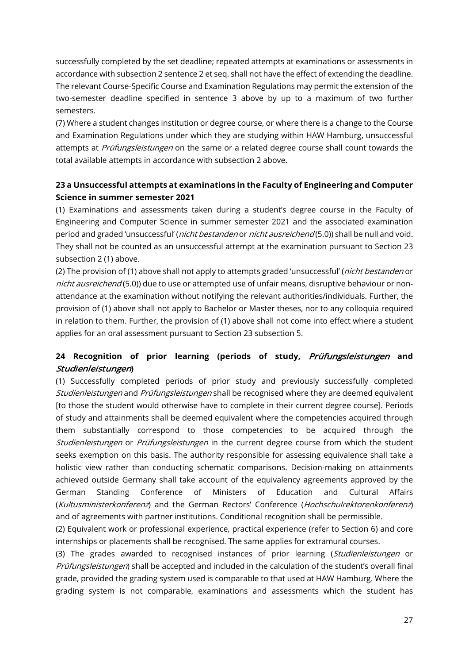successfully completed by the set deadline; repeated attempts at examinations or assessments in accordance with subsection 2 sentence 2 et seq. shall not have the effect of extending the deadline. The relevant Course-Specific Course and Examination Regulations may permit the extension of the two-semester deadline specified in sentence 3 above by up to a maximum of two further semesters.

(7) Where a student changes institution or degree course, or where there is a change to the Course and Examination Regulations under which they are studying within HAW Hamburg, unsuccessful attempts at Prüfungsleistungen on the same or a related degree course shall count towards the total available attempts in accordance with subsection 2 above.

# **23 a Unsuccessful attempts at examinations in the Faculty of Engineering and Computer Science in summer semester 2021**

(1) Examinations and assessments taken during a student's degree course in the Faculty of Engineering and Computer Science in summer semester 2021 and the associated examination period and graded 'unsuccessful' (*nicht bestanden* or *nicht ausreichend* (5.0)) shall be null and void. They shall not be counted as an unsuccessful attempt at the examination pursuant to Section 23 subsection 2 (1) above.

(2) The provision of (1) above shall not apply to attempts graded 'unsuccessful' (nicht bestanden or nicht ausreichend (5.0)) due to use or attempted use of unfair means, disruptive behaviour or nonattendance at the examination without notifying the relevant authorities/individuals. Further, the provision of (1) above shall not apply to Bachelor or Master theses, nor to any colloquia required in relation to them. Further, the provision of (1) above shall not come into effect where a student applies for an oral assessment pursuant to Section 23 subsection 5.

# **24 Recognition of prior learning (periods of study,** Prüfungsleistungen **and**  Studienleistungen**)**

(1) Successfully completed periods of prior study and previously successfully completed Studienleistungen and Prüfungsleistungen shall be recognised where they are deemed equivalent [to those the student would otherwise have to complete in their current degree course]. Periods of study and attainments shall be deemed equivalent where the competencies acquired through them substantially correspond to those competencies to be acquired through the Studienleistungen or Prüfungsleistungen in the current degree course from which the student seeks exemption on this basis. The authority responsible for assessing equivalence shall take a holistic view rather than conducting schematic comparisons. Decision-making on attainments achieved outside Germany shall take account of the equivalency agreements approved by the German Standing Conference of Ministers of Education and Cultural Affairs (Kultusministerkonferenz) and the German Rectors' Conference (Hochschulrektorenkonferenz) and of agreements with partner institutions. Conditional recognition shall be permissible.

(2) Equivalent work or professional experience, practical experience (refer to Section 6) and core internships or placements shall be recognised. The same applies for extramural courses.

(3) The grades awarded to recognised instances of prior learning (Studienleistungen or Prüfungsleistungen) shall be accepted and included in the calculation of the student's overall final grade, provided the grading system used is comparable to that used at HAW Hamburg. Where the grading system is not comparable, examinations and assessments which the student has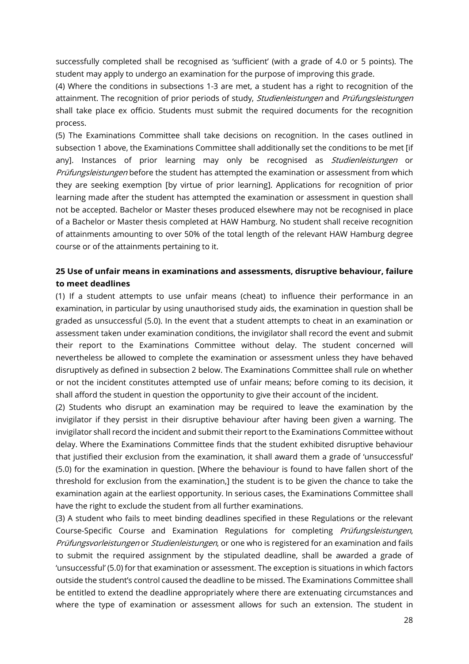successfully completed shall be recognised as 'sufficient' (with a grade of 4.0 or 5 points). The student may apply to undergo an examination for the purpose of improving this grade.

(4) Where the conditions in subsections 1-3 are met, a student has a right to recognition of the attainment. The recognition of prior periods of study, Studienleistungen and Prüfungsleistungen shall take place ex officio. Students must submit the required documents for the recognition process.

(5) The Examinations Committee shall take decisions on recognition. In the cases outlined in subsection 1 above, the Examinations Committee shall additionally set the conditions to be met [if any]. Instances of prior learning may only be recognised as *Studienleistungen* or Prüfungsleistungen before the student has attempted the examination or assessment from which they are seeking exemption [by virtue of prior learning]. Applications for recognition of prior learning made after the student has attempted the examination or assessment in question shall not be accepted. Bachelor or Master theses produced elsewhere may not be recognised in place of a Bachelor or Master thesis completed at HAW Hamburg. No student shall receive recognition of attainments amounting to over 50% of the total length of the relevant HAW Hamburg degree course or of the attainments pertaining to it.

### **25 Use of unfair means in examinations and assessments, disruptive behaviour, failure to meet deadlines**

(1) If a student attempts to use unfair means (cheat) to influence their performance in an examination, in particular by using unauthorised study aids, the examination in question shall be graded as unsuccessful (5.0). In the event that a student attempts to cheat in an examination or assessment taken under examination conditions, the invigilator shall record the event and submit their report to the Examinations Committee without delay. The student concerned will nevertheless be allowed to complete the examination or assessment unless they have behaved disruptively as defined in subsection 2 below. The Examinations Committee shall rule on whether or not the incident constitutes attempted use of unfair means; before coming to its decision, it shall afford the student in question the opportunity to give their account of the incident.

(2) Students who disrupt an examination may be required to leave the examination by the invigilator if they persist in their disruptive behaviour after having been given a warning. The invigilator shall record the incident and submit their report to the Examinations Committee without delay. Where the Examinations Committee finds that the student exhibited disruptive behaviour that justified their exclusion from the examination, it shall award them a grade of 'unsuccessful' (5.0) for the examination in question. [Where the behaviour is found to have fallen short of the threshold for exclusion from the examination,] the student is to be given the chance to take the examination again at the earliest opportunity. In serious cases, the Examinations Committee shall have the right to exclude the student from all further examinations.

(3) A student who fails to meet binding deadlines specified in these Regulations or the relevant Course-Specific Course and Examination Regulations for completing *Prüfungsleistungen*, Prüfungsvorleistungen or Studienleistungen, or one who is registered for an examination and fails to submit the required assignment by the stipulated deadline, shall be awarded a grade of 'unsuccessful' (5.0) for that examination or assessment. The exception is situations in which factors outside the student's control caused the deadline to be missed. The Examinations Committee shall be entitled to extend the deadline appropriately where there are extenuating circumstances and where the type of examination or assessment allows for such an extension. The student in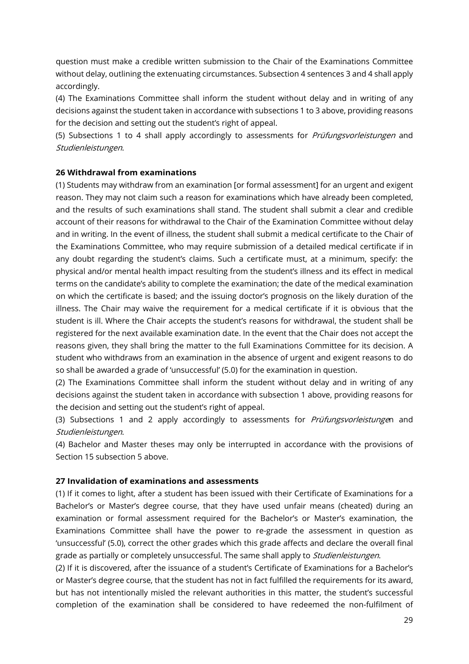question must make a credible written submission to the Chair of the Examinations Committee without delay, outlining the extenuating circumstances. Subsection 4 sentences 3 and 4 shall apply accordingly.

(4) The Examinations Committee shall inform the student without delay and in writing of any decisions against the student taken in accordance with subsections 1 to 3 above, providing reasons for the decision and setting out the student's right of appeal.

(5) Subsections 1 to 4 shall apply accordingly to assessments for *Prüfungsvorleistungen* and Studienleistungen.

### **26 Withdrawal from examinations**

(1) Students may withdraw from an examination [or formal assessment] for an urgent and exigent reason. They may not claim such a reason for examinations which have already been completed, and the results of such examinations shall stand. The student shall submit a clear and credible account of their reasons for withdrawal to the Chair of the Examination Committee without delay and in writing. In the event of illness, the student shall submit a medical certificate to the Chair of the Examinations Committee, who may require submission of a detailed medical certificate if in any doubt regarding the student's claims. Such a certificate must, at a minimum, specify: the physical and/or mental health impact resulting from the student's illness and its effect in medical terms on the candidate's ability to complete the examination; the date of the medical examination on which the certificate is based; and the issuing doctor's prognosis on the likely duration of the illness. The Chair may waive the requirement for a medical certificate if it is obvious that the student is ill. Where the Chair accepts the student's reasons for withdrawal, the student shall be registered for the next available examination date. In the event that the Chair does not accept the reasons given, they shall bring the matter to the full Examinations Committee for its decision. A student who withdraws from an examination in the absence of urgent and exigent reasons to do so shall be awarded a grade of 'unsuccessful' (5.0) for the examination in question.

(2) The Examinations Committee shall inform the student without delay and in writing of any decisions against the student taken in accordance with subsection 1 above, providing reasons for the decision and setting out the student's right of appeal.

(3) Subsections 1 and 2 apply accordingly to assessments for *Prüfungsvorleistunge*n and Studienleistungen.

(4) Bachelor and Master theses may only be interrupted in accordance with the provisions of Section 15 subsection 5 above.

### **27 Invalidation of examinations and assessments**

(1) If it comes to light, after a student has been issued with their Certificate of Examinations for a Bachelor's or Master's degree course, that they have used unfair means (cheated) during an examination or formal assessment required for the Bachelor's or Master's examination, the Examinations Committee shall have the power to re-grade the assessment in question as 'unsuccessful' (5.0), correct the other grades which this grade affects and declare the overall final grade as partially or completely unsuccessful. The same shall apply to *Studienleistungen*.

(2) If it is discovered, after the issuance of a student's Certificate of Examinations for a Bachelor's or Master's degree course, that the student has not in fact fulfilled the requirements for its award, but has not intentionally misled the relevant authorities in this matter, the student's successful completion of the examination shall be considered to have redeemed the non-fulfilment of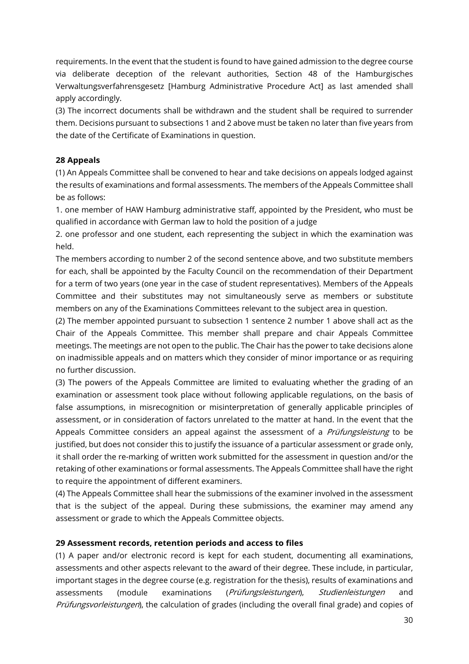requirements. In the event that the student is found to have gained admission to the degree course via deliberate deception of the relevant authorities, Section 48 of the Hamburgisches Verwaltungsverfahrensgesetz [Hamburg Administrative Procedure Act] as last amended shall apply accordingly.

(3) The incorrect documents shall be withdrawn and the student shall be required to surrender them. Decisions pursuant to subsections 1 and 2 above must be taken no later than five years from the date of the Certificate of Examinations in question.

### **28 Appeals**

(1) An Appeals Committee shall be convened to hear and take decisions on appeals lodged against the results of examinations and formal assessments. The members of the Appeals Committee shall be as follows:

1. one member of HAW Hamburg administrative staff, appointed by the President, who must be qualified in accordance with German law to hold the position of a judge

2. one professor and one student, each representing the subject in which the examination was held.

The members according to number 2 of the second sentence above, and two substitute members for each, shall be appointed by the Faculty Council on the recommendation of their Department for a term of two years (one year in the case of student representatives). Members of the Appeals Committee and their substitutes may not simultaneously serve as members or substitute members on any of the Examinations Committees relevant to the subject area in question.

(2) The member appointed pursuant to subsection 1 sentence 2 number 1 above shall act as the Chair of the Appeals Committee. This member shall prepare and chair Appeals Committee meetings. The meetings are not open to the public. The Chair has the power to take decisions alone on inadmissible appeals and on matters which they consider of minor importance or as requiring no further discussion.

(3) The powers of the Appeals Committee are limited to evaluating whether the grading of an examination or assessment took place without following applicable regulations, on the basis of false assumptions, in misrecognition or misinterpretation of generally applicable principles of assessment, or in consideration of factors unrelated to the matter at hand. In the event that the Appeals Committee considers an appeal against the assessment of a *Prüfungsleistung* to be justified, but does not consider this to justify the issuance of a particular assessment or grade only, it shall order the re-marking of written work submitted for the assessment in question and/or the retaking of other examinations or formal assessments. The Appeals Committee shall have the right to require the appointment of different examiners.

(4) The Appeals Committee shall hear the submissions of the examiner involved in the assessment that is the subject of the appeal. During these submissions, the examiner may amend any assessment or grade to which the Appeals Committee objects.

### **29 Assessment records, retention periods and access to files**

(1) A paper and/or electronic record is kept for each student, documenting all examinations, assessments and other aspects relevant to the award of their degree. These include, in particular, important stages in the degree course (e.g. registration for the thesis), results of examinations and assessments (module examinations (Prüfungsleistungen), Studienleistungen and Prüfungsvorleistungen), the calculation of grades (including the overall final grade) and copies of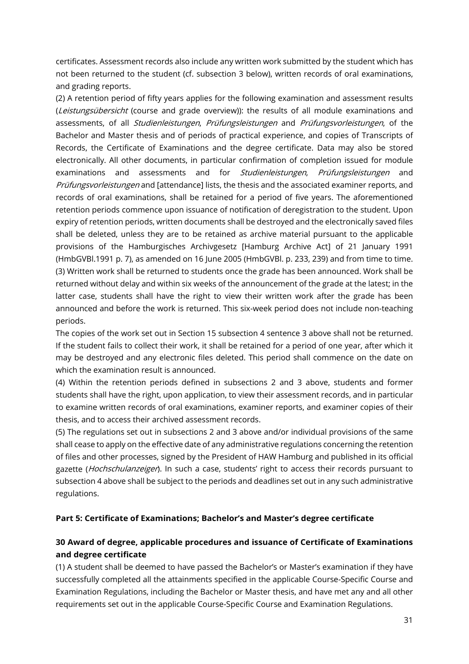certificates. Assessment records also include any written work submitted by the student which has not been returned to the student (cf. subsection 3 below), written records of oral examinations, and grading reports.

(2) A retention period of fifty years applies for the following examination and assessment results (Leistungsübersicht (course and grade overview)): the results of all module examinations and assessments, of all *Studienleistungen*, Prüfungsleistungen and Prüfungsvorleistungen, of the Bachelor and Master thesis and of periods of practical experience, and copies of Transcripts of Records, the Certificate of Examinations and the degree certificate. Data may also be stored electronically. All other documents, in particular confirmation of completion issued for module examinations and assessments and for *Studienleistungen*, *Prüfungsleistungen* and Prüfungsvorleistungen and [attendance] lists, the thesis and the associated examiner reports, and records of oral examinations, shall be retained for a period of five years. The aforementioned retention periods commence upon issuance of notification of deregistration to the student. Upon expiry of retention periods, written documents shall be destroyed and the electronically saved files shall be deleted, unless they are to be retained as archive material pursuant to the applicable provisions of the Hamburgisches Archivgesetz [Hamburg Archive Act] of 21 January 1991 (HmbGVBl.1991 p. 7), as amended on 16 June 2005 (HmbGVBl. p. 233, 239) and from time to time. (3) Written work shall be returned to students once the grade has been announced. Work shall be returned without delay and within six weeks of the announcement of the grade at the latest; in the latter case, students shall have the right to view their written work after the grade has been announced and before the work is returned. This six-week period does not include non-teaching periods.

The copies of the work set out in Section 15 subsection 4 sentence 3 above shall not be returned. If the student fails to collect their work, it shall be retained for a period of one year, after which it may be destroyed and any electronic files deleted. This period shall commence on the date on which the examination result is announced.

(4) Within the retention periods defined in subsections 2 and 3 above, students and former students shall have the right, upon application, to view their assessment records, and in particular to examine written records of oral examinations, examiner reports, and examiner copies of their thesis, and to access their archived assessment records.

(5) The regulations set out in subsections 2 and 3 above and/or individual provisions of the same shall cease to apply on the effective date of any administrative regulations concerning the retention of files and other processes, signed by the President of HAW Hamburg and published in its official gazette (Hochschulanzeiger). In such a case, students' right to access their records pursuant to subsection 4 above shall be subject to the periods and deadlines set out in any such administrative regulations.

### **Part 5: Certificate of Examinations; Bachelor's and Master's degree certificate**

# **30 Award of degree, applicable procedures and issuance of Certificate of Examinations and degree certificate**

(1) A student shall be deemed to have passed the Bachelor's or Master's examination if they have successfully completed all the attainments specified in the applicable Course-Specific Course and Examination Regulations, including the Bachelor or Master thesis, and have met any and all other requirements set out in the applicable Course-Specific Course and Examination Regulations.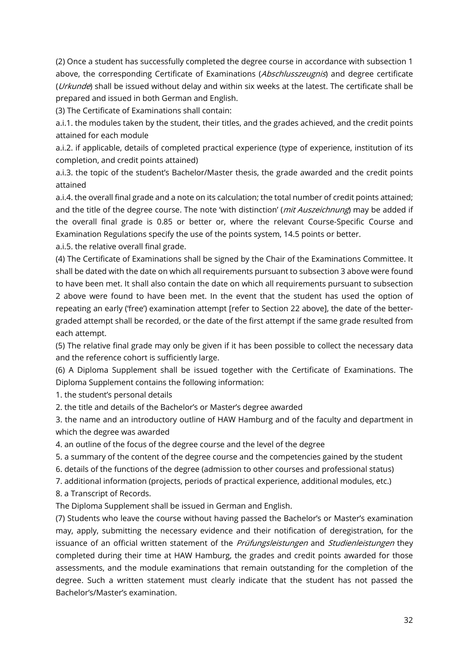(2) Once a student has successfully completed the degree course in accordance with subsection 1 above, the corresponding Certificate of Examinations (Abschlusszeugnis) and degree certificate (*Urkunde*) shall be issued without delay and within six weeks at the latest. The certificate shall be prepared and issued in both German and English.

(3) The Certificate of Examinations shall contain:

a.i.1. the modules taken by the student, their titles, and the grades achieved, and the credit points attained for each module

a.i.2. if applicable, details of completed practical experience (type of experience, institution of its completion, and credit points attained)

a.i.3. the topic of the student's Bachelor/Master thesis, the grade awarded and the credit points attained

a.i.4. the overall final grade and a note on its calculation; the total number of credit points attained; and the title of the degree course. The note 'with distinction' (*mit Auszeichnung*) may be added if the overall final grade is 0.85 or better or, where the relevant Course-Specific Course and Examination Regulations specify the use of the points system, 14.5 points or better.

a.i.5. the relative overall final grade.

(4) The Certificate of Examinations shall be signed by the Chair of the Examinations Committee. It shall be dated with the date on which all requirements pursuant to subsection 3 above were found to have been met. It shall also contain the date on which all requirements pursuant to subsection 2 above were found to have been met. In the event that the student has used the option of repeating an early ('free') examination attempt [refer to Section 22 above], the date of the bettergraded attempt shall be recorded, or the date of the first attempt if the same grade resulted from each attempt.

(5) The relative final grade may only be given if it has been possible to collect the necessary data and the reference cohort is sufficiently large.

(6) A Diploma Supplement shall be issued together with the Certificate of Examinations. The Diploma Supplement contains the following information:

1. the student's personal details

2. the title and details of the Bachelor's or Master's degree awarded

3. the name and an introductory outline of HAW Hamburg and of the faculty and department in which the degree was awarded

4. an outline of the focus of the degree course and the level of the degree

5. a summary of the content of the degree course and the competencies gained by the student

6. details of the functions of the degree (admission to other courses and professional status)

7. additional information (projects, periods of practical experience, additional modules, etc.)

8. a Transcript of Records.

The Diploma Supplement shall be issued in German and English.

(7) Students who leave the course without having passed the Bachelor's or Master's examination may, apply, submitting the necessary evidence and their notification of deregistration, for the issuance of an official written statement of the Prüfungsleistungen and Studienleistungen they completed during their time at HAW Hamburg, the grades and credit points awarded for those assessments, and the module examinations that remain outstanding for the completion of the degree. Such a written statement must clearly indicate that the student has not passed the Bachelor's/Master's examination.